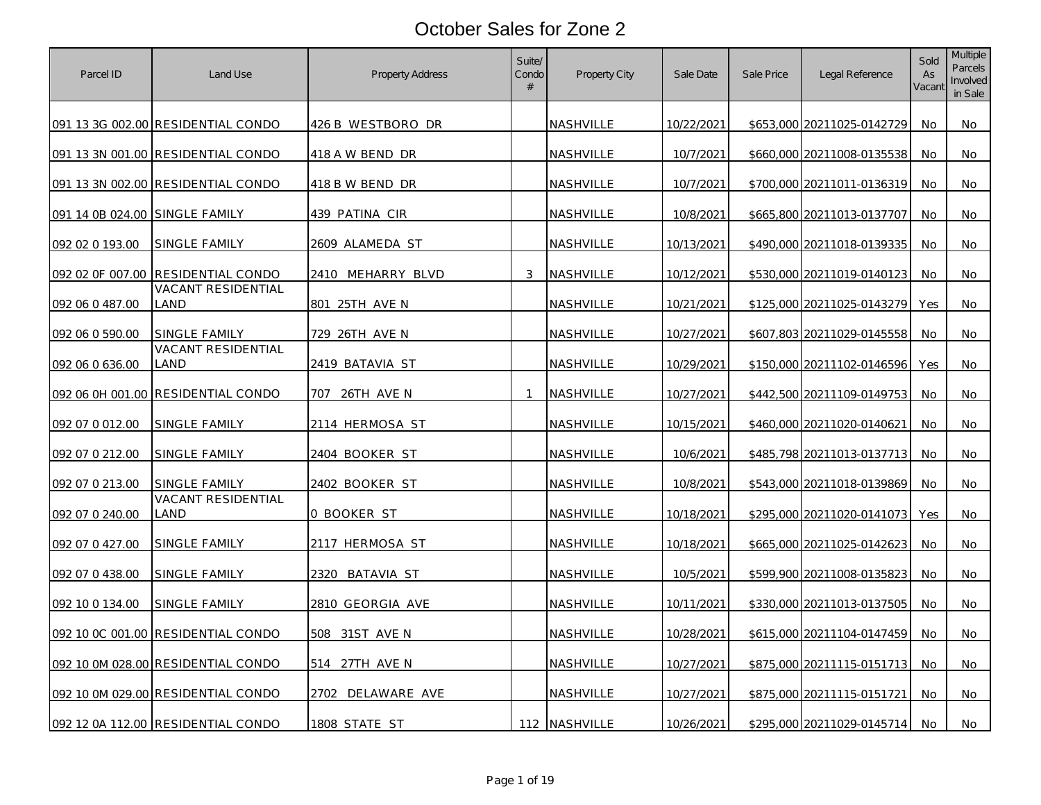| Parcel ID                      | Land Use                           | Property Address         | Suite/<br>Condo<br># | Property City    | Sale Date  | Sale Price | Legal Reference            | Sold<br>As<br>Vacant | <b>Multiple</b><br>Parcels<br>Involved<br>in Sale |
|--------------------------------|------------------------------------|--------------------------|----------------------|------------------|------------|------------|----------------------------|----------------------|---------------------------------------------------|
|                                | 091 13 3G 002.00 RESIDENTIAL CONDO | 426 B WESTBORO DR        |                      | <b>NASHVILLE</b> | 10/22/2021 |            | \$653,000 20211025-0142729 | No                   | No                                                |
|                                | 091 13 3N 001.00 RESIDENTIAL CONDO | 418 A W BEND DR          |                      | NASHVILLE        | 10/7/2021  |            | \$660,000 20211008-0135538 | No                   | No                                                |
|                                | 091 13 3N 002.00 RESIDENTIAL CONDO | 418 B W BEND DR          |                      | NASHVILLE        | 10/7/2021  |            | \$700,000 20211011-0136319 | No                   | No                                                |
| 091 14 0B 024.00 SINGLE FAMILY |                                    | 439 PATINA CIR           |                      | NASHVILLE        | 10/8/2021  |            | \$665,800 20211013-0137707 | No.                  | No.                                               |
| 092 02 0 193.00                | SINGLE FAMILY                      | <u>2609 ALAMEDA ST</u>   |                      | NASHVILLE        | 10/13/2021 |            | \$490,000 20211018-0139335 | No                   | No                                                |
| 092 02 0F 007.00               | RESIDENTIAL CONDO                  | <u>2410 MEHARRY BLVD</u> | 3                    | <b>NASHVILLE</b> | 10/12/2021 |            | \$530,000 20211019-0140123 | No                   | No                                                |
| 092 06 0 487.00                | VACANT RESIDENTIAL<br>_AND         | 801 25TH AVE N           |                      | NASHVILLE        | 10/21/2021 |            | \$125,000 20211025-0143279 | Yes                  | No                                                |
| 092 06 0 590.00                | SINGLE FAMILY                      | 729 26TH AVE N           |                      | NASHVILLE        | 10/27/2021 |            | \$607,803 20211029-0145558 | No                   | No                                                |
| 092 06 0 636.00                | VACANT RESIDENTIAL<br>LAND         | 2419 BATAVIA ST          |                      | NASHVILLE        | 10/29/2021 |            | \$150,000 20211102-0146596 | Yes                  | No                                                |
|                                | 092 06 0H 001.00 RESIDENTIAL CONDO | 707 26TH AVE N           | $\mathbf{1}$         | NASHVILLE        | 10/27/2021 |            | \$442,500 20211109-0149753 | No                   | No                                                |
| 092 07 0 012.00                | SINGLE FAMILY                      | 2114 HERMOSA ST          |                      | NASHVILLE        | 10/15/2021 |            | \$460,000 20211020-0140621 | No                   | No                                                |
| 092 07 0 212.00                | SINGLE FAMILY                      | <u> 2404 booker st</u>   |                      | <b>NASHVILLE</b> | 10/6/2021  |            | \$485,798 20211013-0137713 | No                   | No.                                               |
| 092 07 0 213.00                | SINGLE FAMILY                      | 2402 BOOKER ST           |                      | NASHVILLE        | 10/8/2021  |            | \$543,000 20211018-0139869 | No                   | No                                                |
| 092 07 0 240.00                | <b>VACANT RESIDENTIAL</b><br>LAND  | 0 BOOKER ST              |                      | NASHVILLE        | 10/18/2021 |            | \$295,000 20211020-0141073 | Yes                  | No                                                |
| 092 07 0 427.00                | SINGLE FAMILY                      | <u> 2117 HERMOSA ST</u>  |                      | NASHVILLE        | 10/18/2021 |            | \$665,000 20211025-0142623 | No.                  | No                                                |
| 092 07 0 438.00                | SINGLE FAMILY                      | 2320 BATAVIA ST          |                      | NASHVILLE        | 10/5/2021  |            | \$599,900 20211008-0135823 | No                   | No                                                |
| 092 10 0 134.00                | SINGLE FAMILY                      | 2810 GEORGIA AVE         |                      | NASHVILLE        | 10/11/2021 |            | \$330,000 20211013-0137505 | No                   | No                                                |
|                                | 092 10 0C 001.00 RESIDENTIAL CONDO | 31ST AVE N<br>508        |                      | NASHVILLE        | 10/28/2021 |            | \$615,000 20211104-0147459 | No                   | No                                                |
|                                | 092 10 0M 028.00 RESIDENTIAL CONDO | 27TH AVE N<br>514        |                      | NASHVILLE        | 10/27/2021 |            | \$875,000 20211115-0151713 | No                   | No                                                |
|                                | 092 10 0M 029.00 RESIDENTIAL CONDO | DELAWARE AVE<br>2702     |                      | NASHVILLE        | 10/27/2021 |            | \$875,000 20211115-0151721 | No                   | No                                                |
|                                | 092 12 0A 112.00 RESIDENTIAL CONDO | 1808 STATE ST            |                      | 112 NASHVILLE    | 10/26/2021 |            | \$295,000 20211029-0145714 | No                   | No                                                |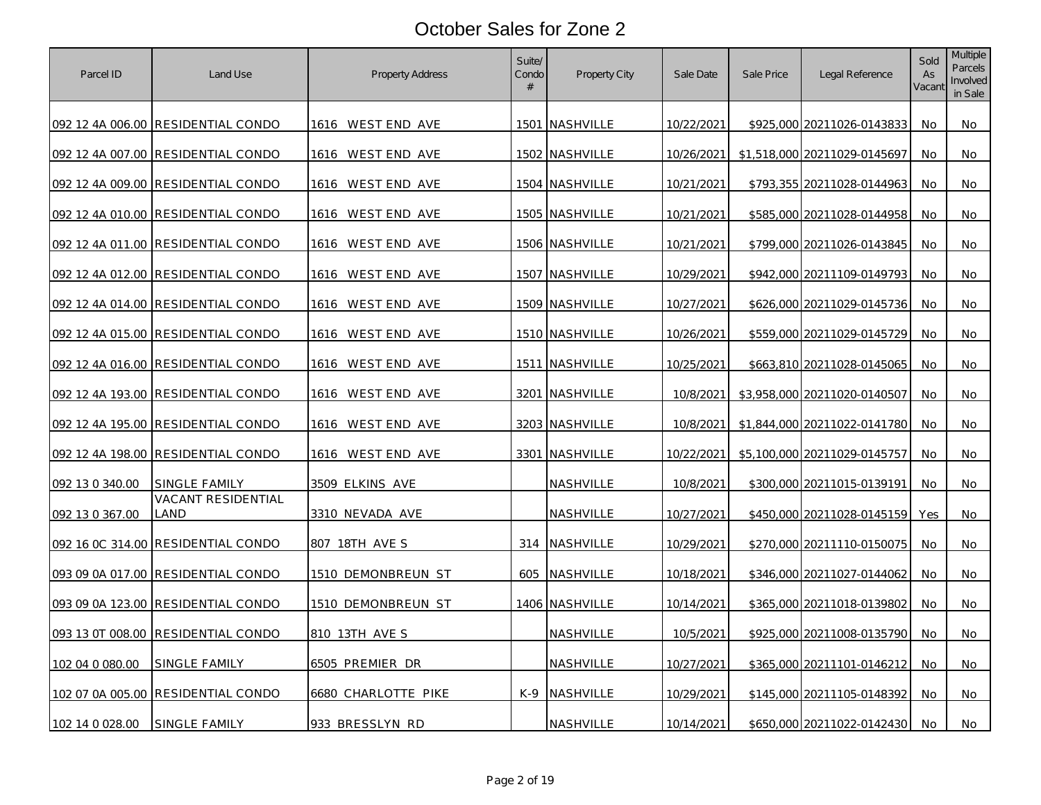| Parcel ID       | Land Use                           | <b>Property Address</b> | Suite/<br>Condo<br># | Property City  | Sale Date         | Sale Price | Legal Reference              | Sold<br>As<br>Vacant | <b>Multiple</b><br>Parcels<br>Involved<br>in Sale |
|-----------------|------------------------------------|-------------------------|----------------------|----------------|-------------------|------------|------------------------------|----------------------|---------------------------------------------------|
|                 | 092 12 4A 006.00 RESIDENTIAL CONDO | 1616 WESTEND AVE        |                      | 1501 NASHVILLE | 10/22/2021        |            | \$925,000 20211026-0143833   | No.                  | No                                                |
|                 | 092 12 4A 007.00 RESIDENTIAL CONDO | 1616 WEST END AVE       |                      | 1502 NASHVILLE | 10/26/2021        |            | \$1,518,000 20211029-0145697 | No.                  | No                                                |
|                 | 092 12 4A 009.00 RESIDENTIAL CONDO | 1616 WEST END AVE       |                      | 1504 NASHVILLE | 10/21/2021        |            | \$793,355 20211028-0144963   | No                   | No                                                |
|                 | 092 12 4A 010.00 RESIDENTIAL CONDO | 1616 WEST END AVE       |                      | 1505 NASHVILLE | 10/21/2021        |            | \$585,000 20211028-0144958   | No.                  | No                                                |
|                 | 092 12 4A 011.00 RESIDENTIAL CONDO | 1616 WEST END AVE       |                      | 1506 NASHVILLE | 10/21/2021        |            | \$799,000 20211026-0143845   | No                   | No                                                |
|                 | 092 12 4A 012.00 RESIDENTIAL CONDO | 1616 WESTEND AVE        |                      | 1507 NASHVILLE | 10/29/2021        |            | \$942,000 20211109-0149793   | No.                  | No                                                |
|                 | 092 12 4A 014.00 RESIDENTIAL CONDO | 1616 WEST END AVE       |                      | 1509 NASHVILLE | 10/27/2021        |            | \$626,000 20211029-0145736   | No                   | No                                                |
|                 | 092 12 4A 015.00 RESIDENTIAL CONDO | 1616 WESTEND AVE        |                      | 1510 NASHVILLE | <u>10/26/2021</u> |            | \$559,000 20211029-0145729   | No                   | No                                                |
|                 | 092 12 4A 016.00 RESIDENTIAL CONDO | 1616 WESTEND AVE        |                      | 1511 NASHVILLE | 10/25/2021        |            | \$663,810 20211028-0145065   | No.                  | No                                                |
|                 | 092 12 4A 193.00 RESIDENTIAL CONDO | 1616 WESTEND AVE        |                      | 3201 NASHVILLE | 10/8/2021         |            | \$3,958,000 20211020-0140507 | No                   | No                                                |
|                 | 092 12 4A 195.00 RESIDENTIAL CONDO | 1616 WESTEND AVE        |                      | 3203 NASHVILLE | 10/8/2021         |            | \$1,844,000 20211022-0141780 | No.                  | No                                                |
|                 | 092 12 4A 198.00 RESIDENTIAL CONDO | 1616 WEST END AVE       |                      | 3301 NASHVILLE | 10/22/2021        |            | \$5,100,000 20211029-0145757 | No                   | No                                                |
| 092 13 0 340.00 | SINGLE FAMILY                      | 3509 ELKINS AVE         |                      | NASHVILLE      | 10/8/2021         |            | \$300,000 20211015-0139191   | No                   | No                                                |
| 092 13 0 367.00 | VACANT RESIDENTIAL<br>LAND         | 3310 NEVADA AVE         |                      | NASHVILLE      | 10/27/2021        |            | \$450,000 20211028-0145159   | Yes                  | No                                                |
|                 | 092 16 0C 314.00 RESIDENTIAL CONDO | 807 18TH AVE S          |                      | 314 NASHVILLE  | 10/29/2021        |            | \$270,000 20211110-0150075   | No                   | No                                                |
|                 | 093 09 0A 017.00 RESIDENTIAL CONDO | 1510 DEMONBREUN ST      |                      | 605 NASHVILLE  | 10/18/2021        |            | \$346,000 20211027-0144062   | No                   | No                                                |
|                 | 093 09 0A 123.00 RESIDENTIAL CONDO | 1510 DEMONBREUN ST      |                      | 1406 NASHVILLE | 10/14/2021        |            | \$365,000 20211018-0139802   | No                   | No                                                |
|                 | 093 13 0T 008.00 RESIDENTIAL CONDO | 810 13TH AVE S          |                      | NASHVILLE      | 10/5/2021         |            | \$925,000 20211008-0135790   | No                   | No                                                |
| 102 04 0 080.00 | SINGLE FAMILY                      | 6505 PREMIER DR         |                      | NASHVILLE      | <u>10/27/2021</u> |            | \$365,000 20211101-0146212   | No                   | No.                                               |
|                 | 102 07 0A 005.00 RESIDENTIAL CONDO | 6680 CHARLOTTE PIKE     |                      | K-9 NASHVILLE  | 10/29/2021        |            | \$145,000 20211105-0148392   | No                   | No                                                |
| 102 14 0 028.00 | SINGLE FAMILY                      | 933 BRESSLYN RD         |                      | NASHVILLE      | 10/14/2021        |            | \$650,000 20211022-0142430   | No.                  | No                                                |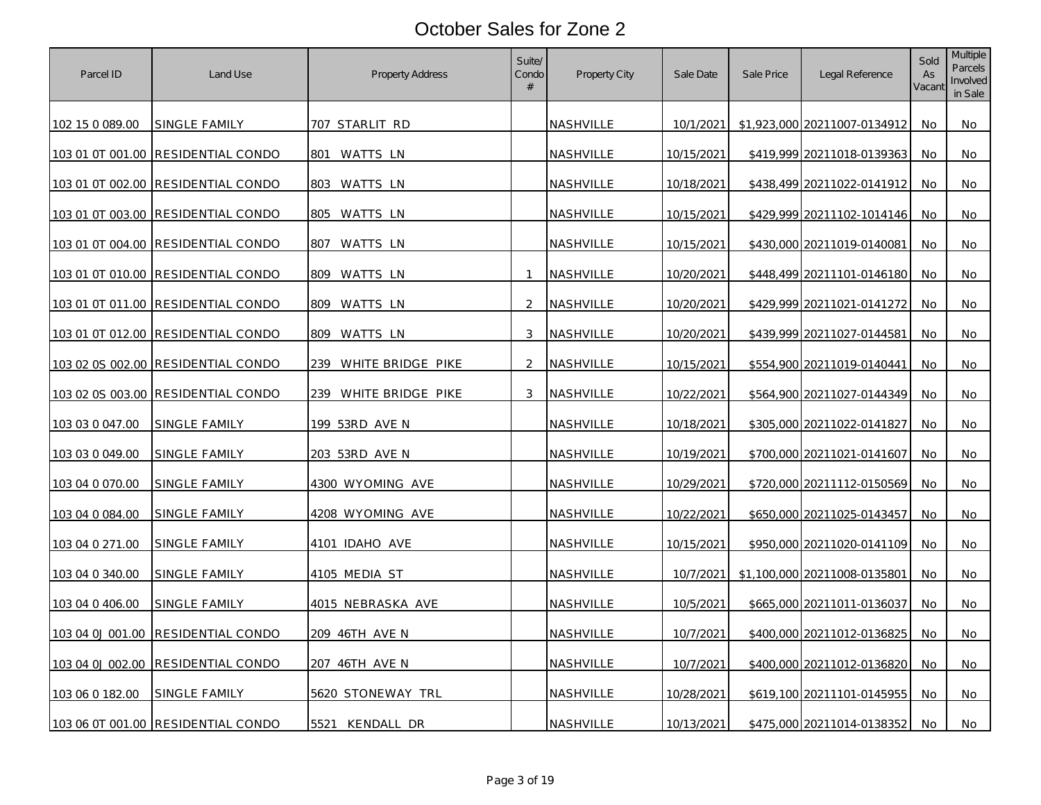| Parcel ID              | Land Use                           | Property Address      | Suite/<br>Condo<br># | <b>Property City</b> | Sale Date  | Sale Price | Legal Reference              | Sold<br>As<br>Vacant | <b>Multiple</b><br>Parcels<br>Involved<br>in Sale |
|------------------------|------------------------------------|-----------------------|----------------------|----------------------|------------|------------|------------------------------|----------------------|---------------------------------------------------|
| 102 15 0 089.00        | SINGLE FAMILY                      | 707 STARLIT RD        |                      | <b>NASHVILLE</b>     | 10/1/2021  |            | \$1,923,000 20211007-0134912 | No                   | No                                                |
|                        | 103 01 0T 001.00 RESIDENTIAL CONDO | 801 WATTS LN          |                      | NASHVILLE            | 10/15/2021 |            | \$419,999 20211018-0139363   | No                   | No                                                |
|                        | 103 01 0T 002.00 RESIDENTIAL CONDO | 803 WATTS LN          |                      | NASHVILLE            | 10/18/2021 |            | \$438,499 20211022-0141912   | No                   | No                                                |
|                        | 103 01 0T 003.00 RESIDENTIAL CONDO | 805 WATTS LN          |                      | NASHVILLE            | 10/15/2021 |            | \$429,999 20211102-1014146   | No                   | No                                                |
|                        | 103 01 0T 004.00 RESIDENTIAL CONDO | 807 WATTS LN          |                      | NASHVILLE            | 10/15/2021 |            | \$430,000 20211019-0140081   | No                   | No                                                |
| 103 01 0T 010.00       | <b>RESIDENTIAL CONDO</b>           | 809 WATTS LN          | $\overline{1}$       | NASHVILLE            | 10/20/2021 |            | \$448,499 20211101-0146180   | No                   | No.                                               |
|                        | 103 01 0T 011.00 RESIDENTIAL CONDO | 809<br>WATTS LN       | 2                    | NASHVILLE            | 10/20/2021 |            | \$429,999 20211021-0141272   | No.                  | No                                                |
|                        | 103 01 0T 012.00 RESIDENTIAL CONDO | 809 WATTS LN          | 3                    | NASHVILLE            | 10/20/2021 |            | \$439,999 20211027-0144581   | No                   | No                                                |
|                        | 103 02 0S 002.00 RESIDENTIAL CONDO | 239 WHITE BRIDGE PIKE | 2                    | NASHVILLE            | 10/15/2021 |            | \$554,900 20211019-0140441   | No                   | No                                                |
| 103 02 0S 003.00       | <b>RESIDENTIAL CONDO</b>           | 239 WHITE BRIDGE PIKE | 3                    | NASHVILLE            | 10/22/2021 |            | \$564,900 20211027-0144349   | No                   | No                                                |
| 103 03 0 047.00        | <b>SINGLE FAMILY</b>               | 199 53RD AVE N        |                      | NASHVILLE            | 10/18/2021 |            | \$305,000 20211022-0141827   | No                   | No                                                |
| 103 03 0 049.00        | <u>SINGLE FAMILY</u>               | <u>203 53RD AVE N</u> |                      | <b>NASHVILLE</b>     | 10/19/2021 |            | \$700,000 20211021-0141607   | No.                  | No                                                |
| 103 04 0 070.00        | SINGLE FAMILY                      | 4300 WYOMING AVE      |                      | NASHVILLE            | 10/29/2021 |            | \$720,000 20211112-0150569   | No.                  | No                                                |
| 103 04 0 084.00        | SINGLE FAMILY                      | 4208 WYOMING AVE      |                      | NASHVILLE            | 10/22/2021 |            | \$650,000 20211025-0143457   | No                   | No                                                |
| 103 04 0 271.00        | SINGLE FAMILY                      | 4101 IDAHO AVE        |                      | NASHVILLE            | 10/15/2021 |            | \$950,000 20211020-0141109   | No.                  | No                                                |
| 103 04 0 340.00        | SINGLE FAMILY                      | 4105 MEDIA ST         |                      | NASHVILLE            | 10/7/2021  |            | \$1,100,000 20211008-0135801 | No                   | No                                                |
| 103 04 0 406.00        | SINGLE FAMILY                      | 4015 NEBRASKA AVE     |                      | NASHVILLE            | 10/5/2021  |            | \$665,000 20211011-0136037   | No                   | No                                                |
| 103 04 0J 001.00       | <b>RESIDENTIAL CONDO</b>           | 209 46TH AVE N        |                      | NASHVILLE            | 10/7/2021  |            | \$400,000 20211012-0136825   | No.                  | No                                                |
| 103 04 0J 002.00       | <b>RESIDENTIAL CONDO</b>           | 207 46TH AVE N        |                      | NASHVILLE            | 10/7/2021  |            | \$400,000 20211012-0136820   | No                   | No                                                |
| <u>103 06 0 182.00</u> | <b>SINGLE FAMILY</b>               | 5620 STONEWAY TRL     |                      | NASHVILLE            | 10/28/2021 |            | \$619,100 20211101-0145955   | No                   | No                                                |
|                        | 103 06 0T 001.00 RESIDENTIAL CONDO | 5521 KENDALL DR       |                      | NASHVILLE            | 10/13/2021 |            | \$475,000 20211014-0138352   | No.                  | No                                                |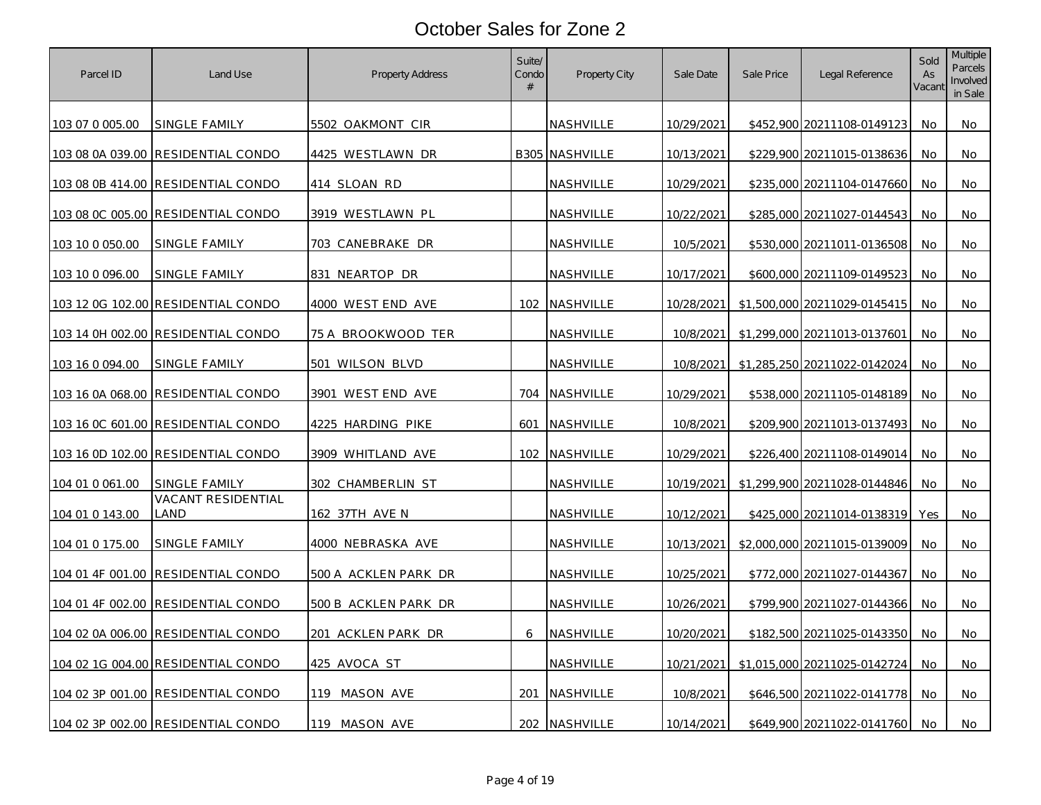| Parcel ID        | Land Use                                  | Property Address     | Suite/<br>Condo<br># | <b>Property City</b> | Sale Date  | Sale Price | Legal Reference              | Sold<br>As<br>Vacant | <b>Multiple</b><br>Parcels<br>Involved<br>in Sale |
|------------------|-------------------------------------------|----------------------|----------------------|----------------------|------------|------------|------------------------------|----------------------|---------------------------------------------------|
| 103 07 0 005.00  | SINGLE FAMILY                             | 5502 OAKMONT CIR     |                      | NASHVILLE            | 10/29/2021 |            | \$452,900 20211108-0149123   | No                   | No                                                |
|                  | 103 08 0A 039.00 RESIDENTIAL CONDO        | 4425 WESTLAWN DR     |                      | B305 NASHVILLE       | 10/13/2021 |            | \$229,900 20211015-0138636   | No                   | No                                                |
|                  | 103 08 0B 414.00 RESIDENTIAL CONDO        | 414 SLOAN RD         |                      | NASHVILLE            | 10/29/2021 |            | \$235,000 20211104-0147660   | No                   | No                                                |
|                  | 103 08 0C 005.00 RESIDENTIAL CONDO        | 3919 WESTLAWN PL     |                      | NASHVILLE            | 10/22/2021 |            | \$285,000 20211027-0144543   | No                   | No                                                |
| 103 10 0 050.00  | SINGLE FAMILY                             | 703 CANEBRAKE DR     |                      | <b>NASHVILLE</b>     | 10/5/2021  |            | \$530,000 20211011-0136508   | No                   | No                                                |
| 103 10 0 096.00  | SINGLE FAMILY                             | 831 NEARTOP DR       |                      | NASHVILLE            | 10/17/2021 |            | \$600,000 20211109-0149523   | No                   | No                                                |
|                  | 103 12 0G 102.00 RESIDENTIAL CONDO        | 4000 WEST END AVE    |                      | 102 NASHVILLE        | 10/28/2021 |            | \$1,500,000 20211029-0145415 | No.                  | No                                                |
|                  | 103 14 0H 002.00 RESIDENTIAL CONDO        | 75 A BROOKWOOD TER   |                      | NASHVILLE            | 10/8/2021  |            | \$1,299,000 20211013-0137601 | No.                  | No                                                |
| 103 16 0 094.00  | SINGLE FAMILY                             | 501 WILSON BLVD      |                      | NASHVILLE            | 10/8/2021  |            | \$1,285,250 20211022-0142024 | No                   | No                                                |
|                  | 103 16 0A 068.00 RESIDENTIAL CONDO        | 3901 WEST END AVE    |                      | 704 NASHVILLE        | 10/29/2021 |            | \$538,000 20211105-0148189   | No                   | No                                                |
|                  | 103 16 0C 601.00 RESIDENTIAL CONDO        | 4225 HARDING PIKE    |                      | 601 NASHVILLE        | 10/8/2021  |            | \$209,900 20211013-0137493   | No                   | No                                                |
|                  | <u>103 16 0D 102.00 RESIDENTIAL CONDO</u> | 3909 WHITLAND AVE    | 102                  | NASHVILLE            | 10/29/2021 |            | \$226,400 20211108-0149014   | No.                  | No.                                               |
| 104 01 0 061.00  | SINGLE FAMILY                             | 302 CHAMBERLIN ST    |                      | NASHVILLE            | 10/19/2021 |            | \$1,299,900 20211028-0144846 | No                   | No                                                |
| 104 01 0 143.00  | VACANT RESIDENTIAL<br>land                | 162 37TH AVE N       |                      | NASHVILLE            | 10/12/2021 |            | \$425,000 20211014-0138319   | Yes                  | No                                                |
| 104 01 0 175.00  | SINGLE FAMILY                             | 4000 NEBRASKA AVE    |                      | NASHVILLE            | 10/13/2021 |            | \$2,000,000 20211015-0139009 | No                   | No                                                |
|                  | 104 01 4F 001.00 RESIDENTIAL CONDO        | 500 A ACKLEN PARK DR |                      | NASHVILLE            | 10/25/2021 |            | \$772,000 20211027-0144367   | No                   | No                                                |
| 104 01 4F 002.00 | <b>RESIDENTIAL CONDO</b>                  | 500 B ACKLEN PARK DR |                      | NASHVILLE            | 10/26/2021 |            | \$799,900 20211027-0144366   | No                   | No                                                |
|                  | 104 02 0A 006.00 RESIDENTIAL CONDO        | 201 ACKLEN PARK DR   | 6                    | NASHVILLE            | 10/20/2021 |            | \$182,500 20211025-0143350   | No                   | No                                                |
|                  | 104 02 1G 004.00 RESIDENTIAL CONDO        | 425 AVOCA ST         |                      | NASHVILLE            | 10/21/2021 |            | \$1,015,000 20211025-0142724 | No                   | No                                                |
|                  | 104 02 3P 001.00 RESIDENTIAL CONDO        | 119 MASON AVE        | 201                  | NASHVILLE            | 10/8/2021  |            | \$646,500 20211022-0141778   | No                   | No                                                |
|                  | 104 02 3P 002.00 RESIDENTIAL CONDO        | 119 MASON AVE        |                      | 202 NASHVILLE        | 10/14/2021 |            | \$649,900 20211022-0141760   | No.                  | No                                                |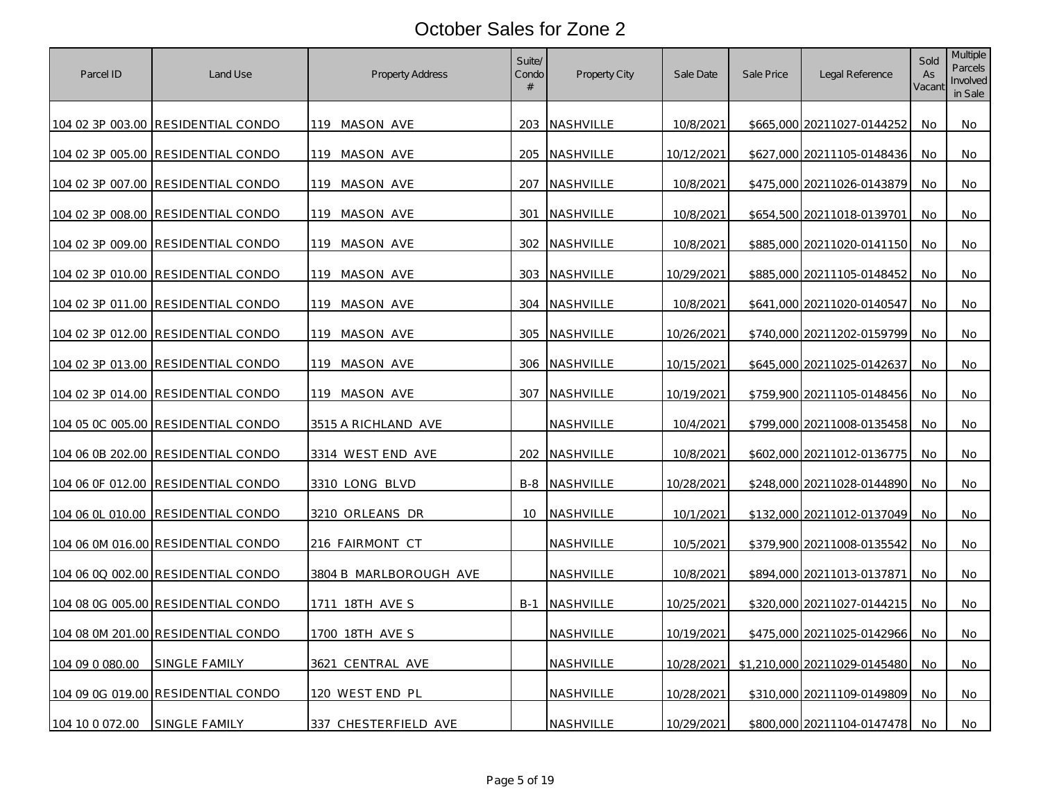| Parcel ID        | Land Use                           | <b>Property Address</b> | Suite/<br>Condo<br># | Property City        | Sale Date  | Sale Price | Legal Reference              | Sold<br>As<br>Vacant | <b>Multiple</b><br>Parcels<br>Involved<br>in Sale |
|------------------|------------------------------------|-------------------------|----------------------|----------------------|------------|------------|------------------------------|----------------------|---------------------------------------------------|
|                  | 104 02 3P 003.00 RESIDENTIAL CONDO | 119 MASON AVE           |                      | 203 NASHVILLE        | 10/8/2021  |            | \$665,000 20211027-0144252   | No                   | No                                                |
|                  | 104 02 3P 005.00 RESIDENTIAL CONDO | 119 MASON AVE           |                      | 205 NASHVILLE        | 10/12/2021 |            | \$627,000 20211105-0148436   | No                   | No                                                |
|                  | 104 02 3P 007.00 RESIDENTIAL CONDO | 119 MASON AVE           |                      | 207 NASHVILLE        | 10/8/2021  |            | \$475,000 20211026-0143879   | No                   | No                                                |
|                  | 104 02 3P 008.00 RESIDENTIAL CONDO | 119 MASON AVE           | 301                  | NASHVILLE            | 10/8/2021  |            | \$654,500 20211018-0139701   | No                   | No                                                |
|                  | 104 02 3P 009.00 RESIDENTIAL CONDO | 119 MASON AVE           |                      | 302 NASHVILLE        | 10/8/2021  |            | \$885,000 20211020-0141150   | No                   | No                                                |
|                  | 104 02 3P 010.00 RESIDENTIAL CONDO | 119 MASON AVE           |                      | 303 NASHVILLE        | 10/29/2021 |            | \$885,000 20211105-0148452   | No                   | No.                                               |
|                  | 104 02 3P 011.00 RESIDENTIAL CONDO | 119 MASON AVE           |                      | 304 NASHVILLE        | 10/8/2021  |            | \$641,000 20211020-0140547   | No                   | No                                                |
|                  | 104 02 3P 012.00 RESIDENTIAL CONDO | 119 MASON AVE           |                      | 305 NASHVILLE        | 10/26/2021 |            | \$740,000 20211202-0159799   | No                   | No                                                |
|                  | 104 02 3P 013.00 RESIDENTIAL CONDO | 119 MASON AVE           |                      | 306 NASHVILLE        | 10/15/2021 |            | \$645,000 20211025-0142637   | No                   | No                                                |
|                  | 104 02 3P 014.00 RESIDENTIAL CONDO | 119 MASON AVE           |                      | 307 NASHVILLE        | 10/19/2021 |            | \$759,900 20211105-0148456   | No                   | No                                                |
|                  | 104 05 0C 005.00 RESIDENTIAL CONDO | 3515 A RICHLAND AVE     |                      | NASHVILLE            | 10/4/2021  |            | \$799,000 20211008-0135458   | No                   | No                                                |
|                  | 104 06 0B 202.00 RESIDENTIAL CONDO | 3314 WEST END AVE       |                      | 202 NASHVILLE        | 10/8/2021  |            | \$602,000 20211012-0136775   | No                   | No                                                |
|                  | 104 06 0F 012.00 RESIDENTIAL CONDO | 3310 LONG BLVD          |                      | <b>B-8 NASHVILLE</b> | 10/28/2021 |            | \$248,000 20211028-0144890   | No                   | No                                                |
| 104 06 0L 010.00 | <b>RESIDENTIAL CONDO</b>           | 3210 ORLEANS DR         | 10                   | NASHVILLE            | 10/1/2021  |            | \$132,000 20211012-0137049   | No                   | No                                                |
|                  | 104 06 0M 016.00 RESIDENTIAL CONDO | 216 FAIRMONT CT         |                      | NASHVILLE            | 10/5/2021  |            | \$379,900 20211008-0135542   | No                   | No                                                |
|                  | 104 06 0Q 002.00 RESIDENTIAL CONDO | 3804 B MARLBOROUGH AVE  |                      | NASHVILLE            | 10/8/2021  |            | \$894,000 20211013-0137871   | No                   | No                                                |
|                  | 104 08 0G 005.00 RESIDENTIAL CONDO | <u>1711 18TH AVE S</u>  |                      | <b>B-1 NASHVILLE</b> | 10/25/2021 |            | \$320,000 20211027-0144215   | No                   | No                                                |
|                  | 104 08 0M 201.00 RESIDENTIAL CONDO | 1700 18TH AVE S         |                      | NASHVILLE            | 10/19/2021 |            | \$475,000 20211025-0142966   | No                   | No                                                |
| 104 09 0 080.00  | SINGLE FAMILY                      | 3621 CENTRAL AVE        |                      | NASHVILLE            | 10/28/2021 |            | \$1,210,000 20211029-0145480 | No                   | No                                                |
|                  | 104 09 0G 019.00 RESIDENTIAL CONDO | 120 WEST END PL         |                      | NASHVILLE            | 10/28/2021 |            | \$310,000 20211109-0149809   | No                   | No                                                |
| 104 10 0 072.00  | SINGLE FAMILY                      | 337 CHESTERFIELD AVE    |                      | NASHVILLE            | 10/29/2021 |            | \$800,000 20211104-0147478   | No                   | No                                                |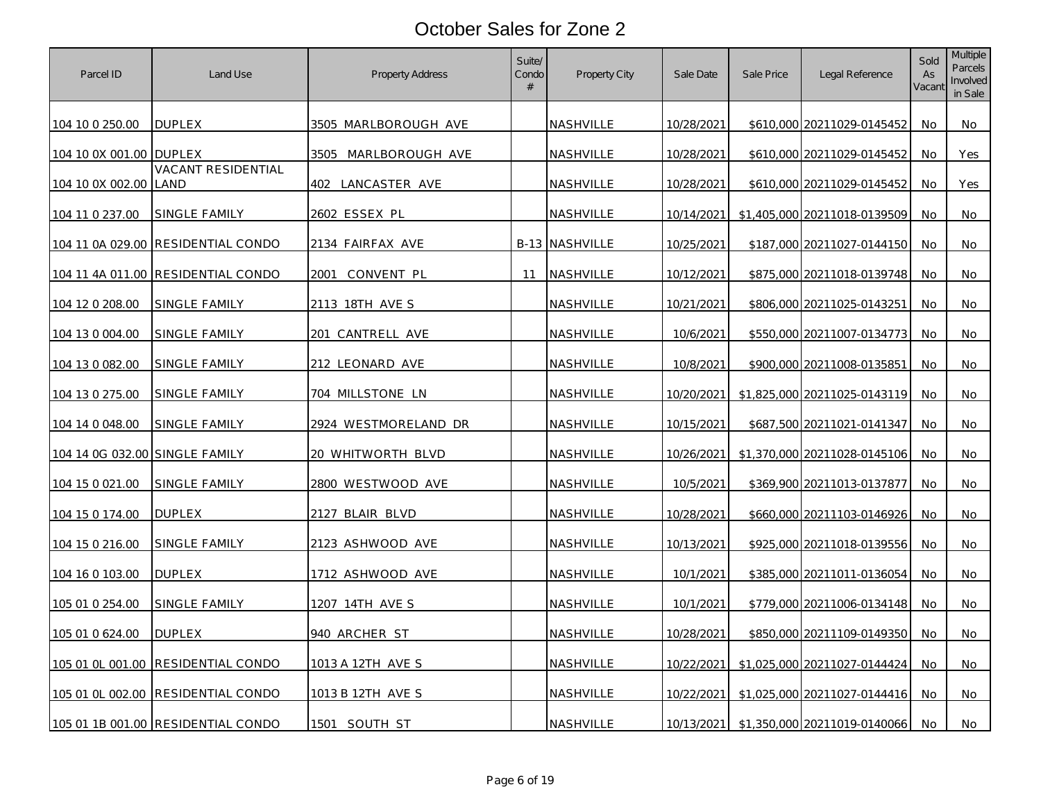| Parcel ID                      | Land Use                           | <b>Property Address</b> | Suite/<br>Condo<br># | Property City         | Sale Date  | Sale Price | Legal Reference              | Sold<br>As<br>Vacant | <b>Multiple</b><br>Parcels<br>Involved<br>in Sale |
|--------------------------------|------------------------------------|-------------------------|----------------------|-----------------------|------------|------------|------------------------------|----------------------|---------------------------------------------------|
| 104 10 0 250.00                | <b>DUPLEX</b>                      | 3505 MARLBOROUGH AVE    |                      | NASHVILLE             | 10/28/2021 |            | \$610,000 20211029-0145452   | No.                  | No                                                |
| 104 10 0X 001.00 DUPLEX        |                                    | 3505 MARLBOROUGH AVE    |                      | NASHVILLE             | 10/28/2021 |            | \$610,000 20211029-0145452   | No                   | Yes                                               |
| 104 10 0X 002.00               | VACANT RESIDENTIAL<br>LAND         | 402 LANCASTER AVE       |                      | NASHVILLE             | 10/28/2021 |            | \$610,000 20211029-0145452   | No                   | Yes                                               |
| 104 11 0 237.00                | SINGLE FAMILY                      | 2602 ESSEX PL           |                      | NASHVILLE             | 10/14/2021 |            | \$1,405,000 20211018-0139509 | No                   | No                                                |
|                                | 104 11 0A 029.00 RESIDENTIAL CONDO | 2134 FAIRFAX AVE        |                      | <b>B-13 NASHVILLE</b> | 10/25/2021 |            | \$187.000 20211027-0144150   | No.                  | No                                                |
| 104 11 4A 011.00               | RESIDENTIAL CONDO                  | 2001<br>CONVENT PL      | 11                   | NASHVILLE             | 10/12/2021 |            | \$875,000 20211018-0139748   | No                   | No                                                |
| 104 12 0 208.00                | SINGLE FAMILY                      | 2113 18TH AVE S         |                      | NASHVILLE             | 10/21/2021 |            | \$806,000 20211025-0143251   | No.                  | No                                                |
| 104 13 0 004.00                | SINGLE FAMILY                      | 201 CANTRELL AVE        |                      | NASHVILLE             | 10/6/2021  |            | \$550,000 20211007-0134773   | No                   | No                                                |
| 104 13 0 082.00                | SINGLE FAMILY                      | 212 LEONARD AVE         |                      | NASHVILLE             | 10/8/2021  |            | \$900,000 20211008-0135851   | No                   | No                                                |
| 104 13 0 275.00                | SINGLE FAMILY                      | 704 MILLSTONE LN        |                      | NASHVILLE             | 10/20/2021 |            | \$1,825,000 20211025-0143119 | No                   | No                                                |
| 104 14 0 048.00                | SINGLE FAMILY                      | 2924 WESTMORELAND DR    |                      | NASHVILLE             | 10/15/2021 |            | \$687,500 20211021-0141347   | No                   | No                                                |
| 104 14 0G 032.00 SINGLE FAMILY |                                    | 20 WHITWORTH BLVD       |                      | <u>NASHVILLE</u>      | 10/26/2021 |            | \$1,370,000 20211028-0145106 | No                   | No                                                |
| 104 15 0 021.00                | SINGLE FAMILY                      | 2800 WESTWOOD AVE       |                      | NASHVILLE             | 10/5/2021  |            | \$369,900 20211013-0137877   | No.                  | No                                                |
| 104 15 0 174.00                | <b>DUPLEX</b>                      | 2127 BLAIR BLVD         |                      | NASHVILLE             | 10/28/2021 |            | \$660,000 20211103-0146926   | No                   | No                                                |
| 104 15 0 216.00                | SINGLE FAMILY                      | 2123 ASHWOOD AVE        |                      | NASHVILLE             | 10/13/2021 |            | \$925,000 20211018-0139556   | No.                  | No                                                |
| 104 16 0 103.00                | <b>DUPLEX</b>                      | 1712 ASHWOOD AVE        |                      | NASHVILLE             | 10/1/2021  |            | \$385,000 20211011-0136054   | No                   | No                                                |
| 105 01 0 254.00                | SINGLE FAMILY                      | 1207 14TH AVE S         |                      | NASHVILLE             | 10/1/2021  |            | \$779,000 20211006-0134148   | No                   | No                                                |
| 105 01 0 624.00                | <b>DUPLEX</b>                      | <u>940 ARCHER ST</u>    |                      | NASHVILLE             | 10/28/2021 |            | \$850,000 20211109-0149350   | No                   | No                                                |
| 105 01 0L 001.00               | <b>RESIDENTIAL CONDO</b>           | 1013 A 12TH AVE S       |                      | NASHVILLE             | 10/22/2021 |            | \$1,025,000 20211027-0144424 | No.                  | No                                                |
|                                | 105 01 0L 002.00 RESIDENTIAL CONDO | 1013 B 12TH AVE S       |                      | NASHVILLE             | 10/22/2021 |            | \$1,025,000 20211027-0144416 | <b>No</b>            | No                                                |
|                                | 105 01 1B 001.00 RESIDENTIAL CONDO | 1501 SOUTH ST           |                      | NASHVILLE             | 10/13/2021 |            | \$1,350,000 20211019-0140066 | No                   | No                                                |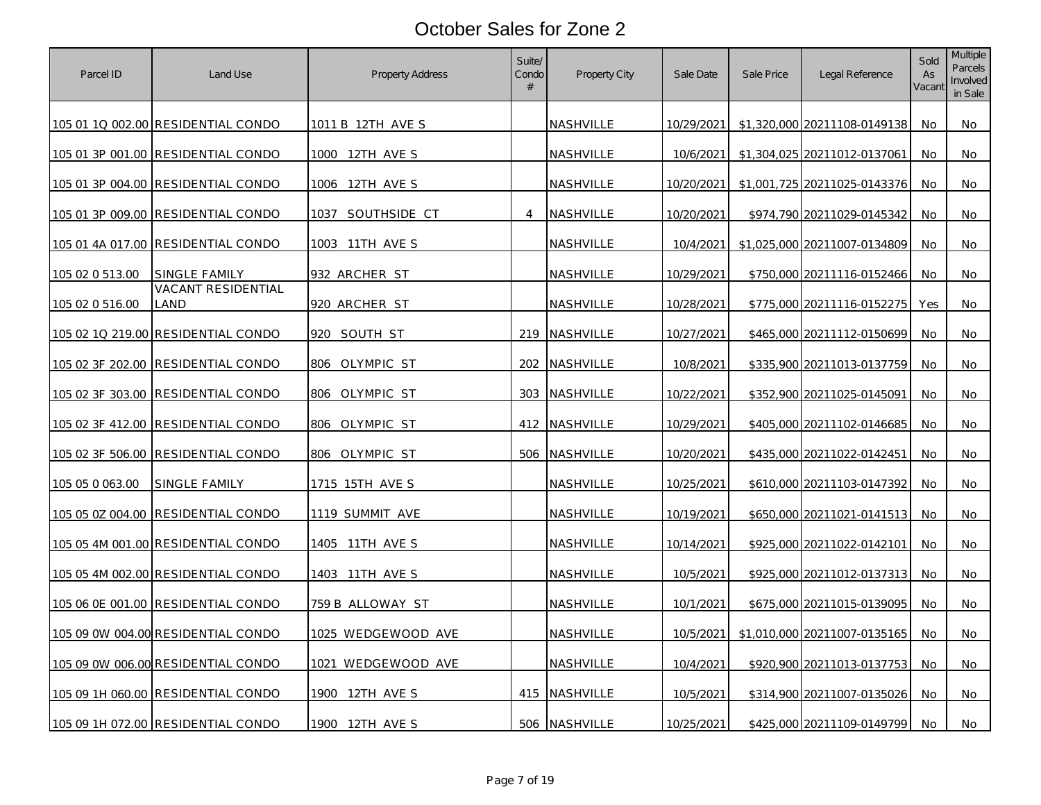| Parcel ID        | Land Use                                  | Property Address       | Suite/<br>Condo<br># | Property City    | Sale Date  | Sale Price | Legal Reference              | Sold<br>As<br>Vacant | <b>Multiple</b><br>Parcels<br>Involved<br>in Sale |
|------------------|-------------------------------------------|------------------------|----------------------|------------------|------------|------------|------------------------------|----------------------|---------------------------------------------------|
|                  | 105 01 1Q 002.00 RESIDENTIAL CONDO        | 1011 B 12TH AVE S      |                      | NASHVILLE        | 10/29/2021 |            | \$1,320,000 20211108-0149138 | No                   | No                                                |
|                  | 105 01 3P 001.00 RESIDENTIAL CONDO        | 1000 12TH AVE S        |                      | NASHVILLE        | 10/6/2021  |            | \$1,304,025 20211012-0137061 | No                   | No                                                |
|                  | 105 01 3P 004.00 RESIDENTIAL CONDO        | 1006 12TH AVE S        |                      | <b>NASHVILLE</b> | 10/20/2021 |            | \$1,001,725 20211025-0143376 | No                   | No                                                |
|                  | 105 01 3P 009.00 RESIDENTIAL CONDO        | SOUTHSIDE CT<br>1037   | $\overline{4}$       | NASHVILLE        | 10/20/2021 |            | \$974,790 20211029-0145342   | No                   | No                                                |
|                  | <u>105 01 4A 017.00 RESIDENTIAL CONDO</u> | <u>1003 11TH AVE S</u> |                      | NASHVILLE        | 10/4/2021  |            | \$1,025,000 20211007-0134809 | No                   | No                                                |
| 105 02 0 513.00  | SINGLE FAMILY                             | 932 ARCHER ST          |                      | <b>NASHVILLE</b> | 10/29/2021 |            | \$750,000 20211116-0152466   | No                   | No                                                |
| 105 02 0 516.00  | <b>VACANT RESIDENTIAL</b><br>_AND         | 920 ARCHER ST          |                      | NASHVILLE        | 10/28/2021 |            | \$775,000 20211116-0152275   | Yes                  | No                                                |
|                  | 105 02 1Q 219.00 RESIDENTIAL CONDO        | 920 SOUTH ST           |                      | 219 NASHVILLE    | 10/27/2021 |            | \$465,000 20211112-0150699   | No.                  | No                                                |
|                  | 105 02 3F 202.00 RESIDENTIAL CONDO        | 806 OLYMPIC ST         |                      | 202 NASHVILLE    | 10/8/2021  |            | \$335,900 20211013-0137759   | No                   | No                                                |
| 105 02 3F 303.00 | <b>RESIDENTIAL CONDO</b>                  | 806 OLYMPIC ST         |                      | 303 NASHVILLE    | 10/22/2021 |            | \$352,900 20211025-0145091   | No.                  | No                                                |
|                  | 105 02 3F 412.00 RESIDENTIAL CONDO        | 806 OLYMPIC ST         |                      | 412 NASHVILLE    | 10/29/2021 |            | \$405,000 20211102-0146685   | No                   | No                                                |
| 105 02 3F 506.00 | <b>RESIDENTIAL CONDO</b>                  | 806 OLYMPIC ST         |                      | 506 NASHVILLE    | 10/20/2021 |            | \$435,000 20211022-0142451   | No.                  | No                                                |
| 105 05 0 063.00  | SINGLE FAMILY                             | 1715 15TH AVE S        |                      | NASHVILLE        | 10/25/2021 |            | \$610,000 20211103-0147392   | No                   | No                                                |
| 105 05 0Z 004.00 | <b>RESIDENTIAL CONDO</b>                  | 1119 SUMMIT AVE        |                      | NASHVILLE        | 10/19/2021 |            | \$650,000 20211021-0141513   | No                   | No                                                |
|                  | 105 05 4M 001.00 RESIDENTIAL CONDO        | 1405 11TH AVE S        |                      | NASHVILLE        | 10/14/2021 |            | \$925,000 20211022-0142101   | No                   | No                                                |
|                  | 105 05 4M 002.00 RESIDENTIAL CONDO        | 1403 11TH AVE S        |                      | NASHVILLE        | 10/5/2021  |            | \$925,000 20211012-0137313   | No                   | No                                                |
|                  | 105 06 0E 001.00 RESIDENTIAL CONDO        | 759 B ALLOWAY ST       |                      | NASHVILLE        | 10/1/2021  |            | \$675,000 20211015-0139095   | No                   | No                                                |
|                  | 105 09 0W 004.00 RESIDENTIAL CONDO        | 1025 WEDGEWOOD AVE     |                      | NASHVILLE        | 10/5/2021  |            | \$1,010,000 20211007-0135165 | No                   | No.                                               |
|                  | 105 09 0W 006.00 RESIDENTIAL CONDO        | 1021 WEDGEWOOD AVE     |                      | NASHVILLE        | 10/4/2021  |            | \$920,900 20211013-0137753   | No                   | No                                                |
|                  | 105 09 1H 060.00 RESIDENTIAL CONDO        | 1900 12TH AVE S        |                      | 415 NASHVILLE    | 10/5/2021  |            | \$314,900 20211007-0135026   | No                   | No                                                |
|                  | 105 09 1H 072.00 RESIDENTIAL CONDO        | 1900 12TH AVE S        |                      | 506 NASHVILLE    | 10/25/2021 |            | \$425,000 20211109-0149799   | No                   | No                                                |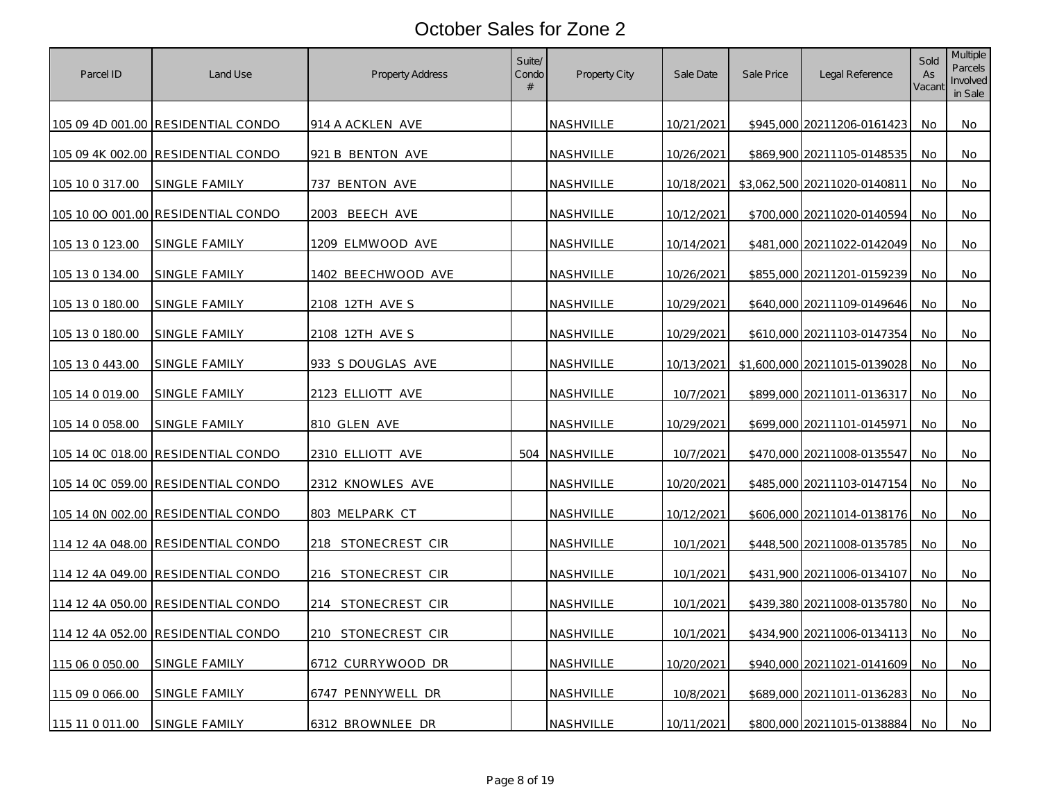| Parcel ID       | Land Use                                  | Property Address   | Suite/<br>Condo<br># | Property City    | Sale Date  | Sale Price | Legal Reference              | Sold<br>As<br>Vacant | <b>Multiple</b><br>Parcels<br>Involved<br>in Sale |
|-----------------|-------------------------------------------|--------------------|----------------------|------------------|------------|------------|------------------------------|----------------------|---------------------------------------------------|
|                 | 105 09 4D 001.00 RESIDENTIAL CONDO        | 914 A ACKLEN AVE   |                      | NASHVILLE        | 10/21/2021 |            | \$945,000 20211206-0161423   | No                   | No                                                |
|                 | 105 09 4K 002.00 RESIDENTIAL CONDO        | 921 B BENTON AVE   |                      | NASHVILLE        | 10/26/2021 |            | \$869,900 20211105-0148535   | No                   | No                                                |
| 105 10 0 317.00 | SINGLE FAMILY                             | 737 BENTON AVE     |                      | NASHVILLE        | 10/18/2021 |            | \$3,062,500 20211020-0140811 | No                   | No                                                |
|                 | 105 10 00 001.00 RESIDENTIAL CONDO        | 2003<br>BEECH AVE  |                      | NASHVILLE        | 10/12/2021 |            | \$700,000 20211020-0140594   | No                   | No                                                |
| 105 13 0 123.00 | SINGLE FAMILY                             | 1209 ELMWOOD AVE   |                      | <b>NASHVILLE</b> | 10/14/2021 |            | \$481,000 20211022-0142049   | No                   | No                                                |
| 105 13 0 134.00 | SINGLE FAMILY                             | 1402 BEECHWOOD AVE |                      | NASHVILLE        | 10/26/2021 |            | \$855,000 20211201-0159239   | No                   | No                                                |
| 105 13 0 180.00 | SINGLE FAMILY                             | 2108 12TH AVE S    |                      | NASHVILLE        | 10/29/2021 |            | \$640,000 20211109-0149646   | No.                  | No                                                |
| 105 13 0 180.00 | SINGLE FAMILY                             | 2108 12TH AVE S    |                      | NASHVILLE        | 10/29/2021 |            | \$610,000 20211103-0147354   | No.                  | No                                                |
| 105 13 0 443.00 | SINGLE FAMILY                             | 933 S DOUGLAS AVE  |                      | NASHVILLE        | 10/13/2021 |            | \$1,600,000 20211015-0139028 | No                   | No                                                |
| 105 14 0 019.00 | SINGLE FAMILY                             | 2123 ELLIOTT AVE   |                      | NASHVILLE        | 10/7/2021  |            | \$899,000 20211011-0136317   | No                   | No                                                |
| 105 14 0 058.00 | SINGLE FAMILY                             | 810 GLEN AVE       |                      | NASHVILLE        | 10/29/2021 |            | \$699,000 20211101-0145971   | No                   | No                                                |
|                 | <u>105 14 0C 018.00 RESIDENTIAL CONDO</u> | 2310 ELLIOTT AVE   |                      | 504 NASHVILLE    | 10/7/2021  |            | \$470,000 20211008-0135547   | No.                  | No                                                |
|                 | 105 14 0C 059.00 RESIDENTIAL CONDO        | 2312 KNOWLES AVE   |                      | NASHVILLE        | 10/20/2021 |            | \$485,000 20211103-0147154   | No                   | No                                                |
|                 | 105 14 0N 002.00 RESIDENTIAL CONDO        | 803 MELPARK CT     |                      | NASHVILLE        | 10/12/2021 |            | \$606,000 20211014-0138176   | No                   | No                                                |
|                 | 114 12 4A 048.00 RESIDENTIAL CONDO        | 218 STONECREST CIR |                      | NASHVILLE        | 10/1/2021  |            | \$448,500 20211008-0135785   | No                   | No                                                |
|                 | 114 12 4A 049.00 RESIDENTIAL CONDO        | 216 STONECREST CIR |                      | NASHVILLE        | 10/1/2021  |            | \$431,900 20211006-0134107   | No                   | No                                                |
|                 | 114 12 4A 050.00 RESIDENTIAL CONDO        | 214 STONECREST CIR |                      | NASHVILLE        | 10/1/2021  |            | \$439,380 20211008-0135780   | No                   | No                                                |
|                 | 114 12 4A 052.00 RESIDENTIAL CONDO        | 210 STONECREST CIR |                      | NASHVILLE        | 10/1/2021  |            | \$434,900 20211006-0134113   | No                   | No                                                |
| 115 06 0 050.00 | SINGLE FAMILY                             | 6712 CURRYWOOD DR  |                      | <b>NASHVILLE</b> | 10/20/2021 |            | \$940,000 20211021-0141609   | No                   | No                                                |
| 115 09 0 066.00 | SINGLE FAMILY                             | 6747 PENNYWELL DR  |                      | NASHVILLE        | 10/8/2021  |            | \$689,000 20211011-0136283   | No                   | No                                                |
| 115 11 0 011.00 | SINGLE FAMILY                             | 6312 BROWNLEE DR   |                      | NASHVILLE        | 10/11/2021 |            | \$800,000 20211015-0138884   | No.                  | No                                                |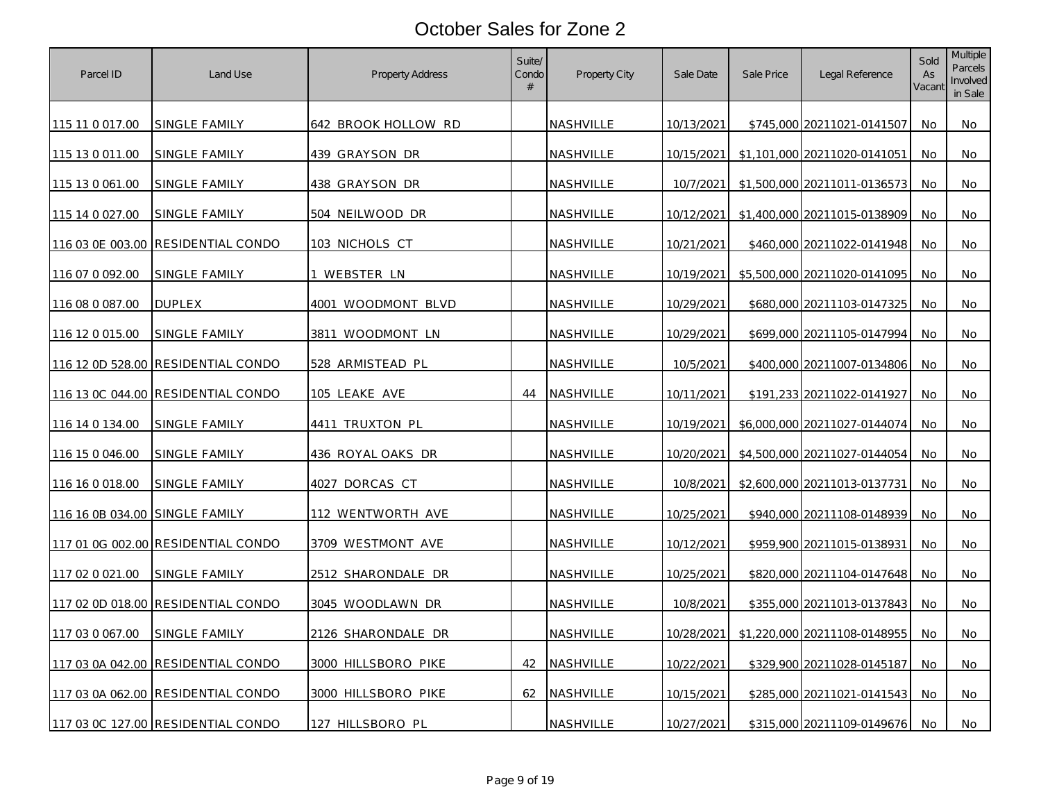| Parcel ID        | Land Use                           | Property Address         | Suite/<br>Condo<br># | Property City    | Sale Date  | Sale Price | Legal Reference              | Sold<br>As<br>Vacant | <b>Multiple</b><br>Parcels<br>Involved<br>in Sale |
|------------------|------------------------------------|--------------------------|----------------------|------------------|------------|------------|------------------------------|----------------------|---------------------------------------------------|
| 115 11 0 017.00  | SINGLE FAMILY                      | 642 BROOK HOLLOW RD      |                      | NASHVILLE        | 10/13/2021 |            | \$745,000 20211021-0141507   | No                   | No                                                |
| 115 13 0 011.00  | SINGLE FAMILY                      | 439 GRAYSON DR           |                      | NASHVILLE        | 10/15/2021 |            | \$1,101,000 20211020-0141051 | No                   | No                                                |
| 115 13 0 061.00  | SINGLE FAMILY                      | 438 GRAYSON DR           |                      | NASHVILLE        | 10/7/2021  |            | \$1,500,000 20211011-0136573 | No                   | No                                                |
| 115 14 0 027.00  | SINGLE FAMILY                      | 504 NEILWOOD DR          |                      | NASHVILLE        | 10/12/2021 |            | \$1,400,000 20211015-0138909 | No                   | No                                                |
|                  | 116 03 0E 003.00 RESIDENTIAL CONDO | 103 NICHOLS CT           |                      | <b>NASHVILLE</b> | 10/21/2021 |            | \$460,000 20211022-0141948   | No                   | No                                                |
| 116 07 0 092.00  | SINGLE FAMILY                      | 1 WEBSTER LN             |                      | NASHVILLE        | 10/19/2021 |            | \$5,500,000 20211020-0141095 | No                   | No                                                |
| 116 08 0 087.00  | <b>DUPLEX</b>                      | 4001 WOODMONT BLVD       |                      | NASHVILLE        | 10/29/2021 |            | \$680,000 20211103-0147325   | No.                  | No                                                |
| 116 12 0 015.00  | SINGLE FAMILY                      | 3811 WOODMONT LN         |                      | NASHVILLE        | 10/29/2021 |            | \$699,000 20211105-0147994   | No.                  | No                                                |
|                  | 116 12 0D 528.00 RESIDENTIAL CONDO | 528 ARMISTEAD PL         |                      | NASHVILLE        | 10/5/2021  |            | \$400,000 20211007-0134806   | No                   | No                                                |
|                  | 116 13 0C 044.00 RESIDENTIAL CONDO | 105 LEAKE AVE            | 44                   | <b>NASHVILLE</b> | 10/11/2021 |            | \$191.233 20211022-0141927   | No                   | No                                                |
| 116 14 0 134.00  | <b>SINGLE FAMILY</b>               | 4411 TRUXTON PL          |                      | NASHVILLE        | 10/19/2021 |            | \$6,000,000 20211027-0144074 | No                   | No                                                |
| 116 15 0 046.00  | <u>SINGLE FAMILY</u>               | <u>436 ROYAL OAKS DR</u> |                      | <u>NASHVILLE</u> | 10/20/2021 |            | \$4,500,000 20211027-0144054 | No.                  | No                                                |
| 116 16 0 018.00  | SINGLE FAMILY                      | 4027 DORCAS CT           |                      | NASHVILLE        | 10/8/2021  |            | \$2,600,000 20211013-0137731 | No                   | No                                                |
| 116 16 0B 034.00 | SINGLE FAMILY                      | 112 WENTWORTH AVE        |                      | NASHVILLE        | 10/25/2021 |            | \$940,000 20211108-0148939   | No                   | No                                                |
|                  | 117 01 0G 002.00 RESIDENTIAL CONDO | 3709 WESTMONT AVE        |                      | NASHVILLE        | 10/12/2021 |            | \$959,900 20211015-0138931   | No                   | No                                                |
| 117 02 0 021 00  | SINGLE FAMILY                      | 2512 SHARONDALE DR       |                      | NASHVILLE        | 10/25/2021 |            | \$820,000 20211104-0147648   | No                   | No                                                |
|                  | 117 02 0D 018.00 RESIDENTIAL CONDO | 3045 WOODLAWN DR         |                      | NASHVILLE        | 10/8/2021  |            | \$355,000 20211013-0137843   | No                   | No                                                |
| 117 03 0 067.00  | SINGLE FAMILY                      | 2126 SHARONDALE DR       |                      | NASHVILLE        | 10/28/2021 |            | \$1,220,000 20211108-0148955 | No                   | No                                                |
|                  | 117 03 0A 042.00 RESIDENTIAL CONDO | 3000 HILLSBORO PIKE      | 42                   | <b>NASHVILLE</b> | 10/22/2021 |            | \$329,900 20211028-0145187   | No                   | No                                                |
|                  | 117 03 0A 062.00 RESIDENTIAL CONDO | 3000 HILLSBORO PIKE      | 62                   | NASHVILLE        | 10/15/2021 |            | \$285,000 20211021-0141543   | No                   | No                                                |
|                  | 117 03 0C 127.00 RESIDENTIAL CONDO | 127 HILLSBORO PL         |                      | NASHVILLE        | 10/27/2021 |            | \$315,000 20211109-0149676   | No.                  | No                                                |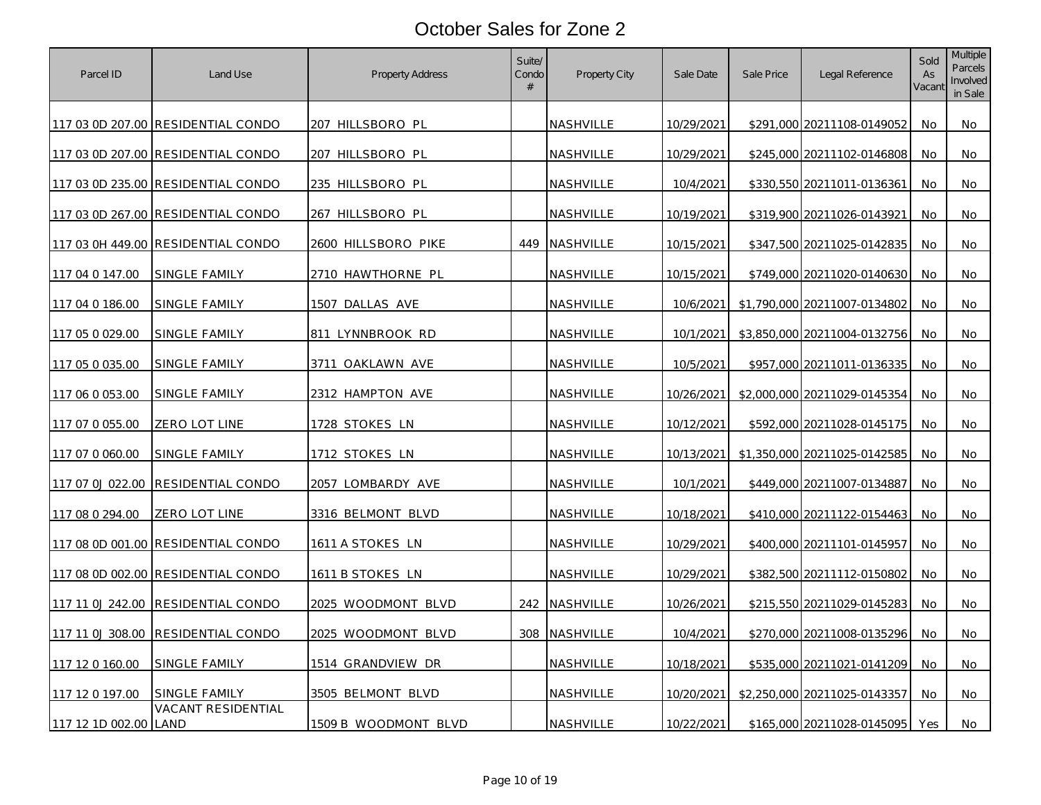| Parcel ID        | Land Use                           | Property Address     | Suite/<br>Condo<br># | <b>Property City</b> | Sale Date  | Sale Price | Legal Reference              | Sold<br>As<br>Vacant | <b>Multiple</b><br>Parcels<br>Involved<br>in Sale |
|------------------|------------------------------------|----------------------|----------------------|----------------------|------------|------------|------------------------------|----------------------|---------------------------------------------------|
|                  | 117 03 0D 207.00 RESIDENTIAL CONDO | 207 HILLSBORO PL     |                      | NASHVILLE            | 10/29/2021 |            | \$291,000 20211108-0149052   | No                   | No                                                |
|                  | 117 03 0D 207.00 RESIDENTIAL CONDO | 207 HILLSBORO PL     |                      | NASHVILLE            | 10/29/2021 |            | \$245,000 20211102-0146808   | No                   | No                                                |
|                  | 117 03 0D 235.00 RESIDENTIAL CONDO | 235 HILLSBORO PL     |                      | NASHVILLE            | 10/4/2021  |            | \$330,550 20211011-0136361   | No                   | No                                                |
|                  | 117 03 0D 267.00 RESIDENTIAL CONDO | 267 HILLSBORO PL     |                      | NASHVILLE            | 10/19/2021 |            | \$319,900 20211026-0143921   | No                   | No                                                |
|                  | 117 03 0H 449.00 RESIDENTIAL CONDO | 2600 HILLSBORO PIKE  |                      | 449 NASHVILLE        | 10/15/2021 |            | \$347,500 20211025-0142835   | No                   | No                                                |
| 117 04 0 147.00  | SINGLE FAMILY                      | 2710 HAWTHORNE PL    |                      | NASHVILLE            | 10/15/2021 |            | \$749,000 20211020-0140630   | No                   | No                                                |
| 117 04 0 186.00  | SINGLE FAMILY                      | 1507 DALLAS AVE      |                      | <b>NASHVILLE</b>     | 10/6/2021  |            | \$1,790,000 20211007-0134802 | No                   | No                                                |
| 117 05 0 029.00  | SINGLE FAMILY                      | 811 LYNNBROOK RD     |                      | NASHVILLE            | 10/1/2021  |            | \$3,850,000 20211004-0132756 | No                   | No                                                |
| 117 05 0 035.00  | SINGLE FAMILY                      | 3711<br>OAKLAWN AVE  |                      | NASHVILLE            | 10/5/2021  |            | \$957,000 20211011-0136335   | No                   | No                                                |
| 117 06 0 053.00  | SINGLE FAMILY                      | 2312 HAMPTON AVE     |                      | NASHVILLE            | 10/26/2021 |            | \$2,000,000 20211029-0145354 | No.                  | No                                                |
| 117 07 0 055.00  | ZERO LOT LINE                      | 1728 STOKES LN       |                      | NASHVILLE            | 10/12/2021 |            | \$592,000 20211028-0145175   | No                   | No                                                |
| 117 07 0 060.00  | <b>SINGLE FAMILY</b>               | 1712 STOKES LN       |                      | NASHVILLE            | 10/13/2021 |            | \$1,350,000 20211025-0142585 | No                   | No                                                |
| 117 07 0J 022.00 | <b>RESIDENTIAL CONDO</b>           | 2057 LOMBARDY AVE    |                      | NASHVILLE            | 10/1/2021  |            | \$449,000 20211007-0134887   | No                   | No                                                |
| 117 08 0 294.00  | ZERO LOT LINE                      | 3316 BELMONT BLVD    |                      | NASHVILLE            | 10/18/2021 |            | \$410,000 20211122-0154463   | No                   | No                                                |
|                  | 117 08 0D 001.00 RESIDENTIAL CONDO | 1611 A STOKES LN     |                      | NASHVILLE            | 10/29/2021 |            | \$400,000 20211101-0145957   | No                   | No                                                |
|                  | 117 08 0D 002.00 RESIDENTIAL CONDO | 1611 B STOKES LN     |                      | NASHVILLE            | 10/29/2021 |            | \$382,500 20211112-0150802   | No                   | No                                                |
| 117 11 0J 242.00 | RESIDENTIAL CONDO                  | 2025 WOODMONT BLVD   |                      | 242 NASHVILLE        | 10/26/2021 |            | \$215,550 20211029-0145283   | No                   | No                                                |
| 117 11 0J 308.00 | <b>RESIDENTIAL CONDO</b>           | 2025 WOODMONT BLVD   |                      | 308 NASHVILLE        | 10/4/2021  |            | \$270,000 20211008-0135296   | No.                  | No                                                |
| 117 12 0 160.00  | SINGLE FAMILY                      | 1514 GRANDVIEW DR    |                      | NASHVILLE            | 10/18/2021 |            | \$535,000 20211021-0141209   | No                   | No                                                |
| 117 12 0 197.00  | SINGLE FAMILY                      | 3505 BELMONT BLVD    |                      | NASHVILLE            | 10/20/2021 |            | \$2,250,000 20211025-0143357 | No                   | No                                                |
| 117 12 1D 002.00 | <b>VACANT RESIDENTIAL</b><br>LAND  | 1509 B WOODMONT BLVD |                      | NASHVILLE            | 10/22/2021 |            | \$165,000 20211028-0145095   | Yes                  | No                                                |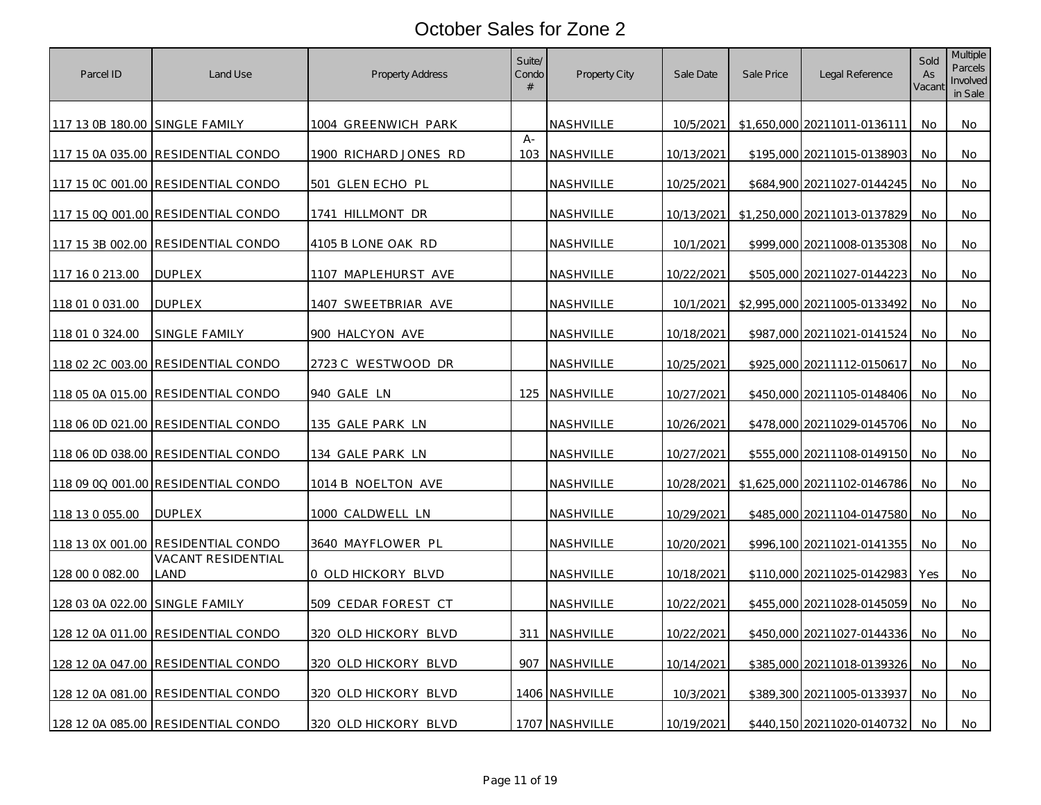| Parcel ID                      | Land Use                           | <b>Property Address</b> | Suite/<br>Condo<br># | Property City    | Sale Date         | Sale Price | Legal Reference              | Sold<br>As<br>Vacant | <b>Multiple</b><br>Parcels<br>Involved<br>in Sale |
|--------------------------------|------------------------------------|-------------------------|----------------------|------------------|-------------------|------------|------------------------------|----------------------|---------------------------------------------------|
| 117 13 0B 180.00 SINGLE FAMILY |                                    | 1004 GREENWICH PARK     |                      | NASHVILLE        | 10/5/2021         |            | \$1,650,000 20211011-0136111 | No                   | No                                                |
|                                | 117 15 0A 035.00 RESIDENTIAL CONDO | 1900 RICHARD JONES RD   | $A -$<br>103         | NASHVILLE        | 10/13/2021        |            | \$195,000 20211015-0138903   | No                   | No                                                |
|                                | 117 15 0C 001.00 RESIDENTIAL CONDO | 501 GLEN ECHO PL        |                      | NASHVILLE        | 10/25/2021        |            | \$684,900 20211027-0144245   | No                   | No                                                |
|                                | 117 15 0Q 001.00 RESIDENTIAL CONDO | 1741 HILLMONT DR        |                      | NASHVILLE        | 10/13/2021        |            | \$1,250,000 20211013-0137829 | No.                  | No                                                |
|                                | 117 15 3B 002.00 RESIDENTIAL CONDO | 4105 B LONE OAK RD      |                      | NASHVILLE        | 10/1/2021         |            | \$999,000 20211008-0135308   | No                   | No                                                |
| 117 16 0 213.00                | <b>DUPLEX</b>                      | 1107 MAPLEHURST AVE     |                      | NASHVILLE        | 10/22/2021        |            | \$505,000 20211027-0144223   | No                   | No                                                |
| 118 01 0 031.00                | <b>DUPLEX</b>                      | 1407 SWEETBRIAR AVE     |                      | NASHVILLE        | 10/1/2021         |            | \$2,995,000 20211005-0133492 | No                   | No                                                |
| 118 01 0 324.00                | SINGLE FAMILY                      | 900 HALCYON AVE         |                      | NASHVILLE        | <u>10/18/2021</u> |            | \$987,000 20211021-0141524   | No                   | No                                                |
|                                | 118 02 2C 003.00 RESIDENTIAL CONDO | 2723 C WESTWOOD DR      |                      | NASHVILLE        | 10/25/2021        |            | \$925,000 20211112-0150617   | No                   | No                                                |
|                                | 118 05 0A 015.00 RESIDENTIAL CONDO | 940 GALE LN             |                      | 125 NASHVILLE    | 10/27/2021        |            | \$450,000 20211105-0148406   | No                   | No                                                |
|                                | 118 06 0D 021.00 RESIDENTIAL CONDO | 135 GALE PARK LN        |                      | <u>NASHVILLE</u> | <u>10/26/2021</u> |            | \$478,000 20211029-0145706   | No                   | No                                                |
|                                | 118 06 0D 038.00 RESIDENTIAL CONDO | <u>134 GALE PARK LN</u> |                      | NASHVILLE        | 10/27/2021        |            | \$555,000 20211108-0149150   | No                   | No                                                |
|                                | 118 09 0Q 001.00 RESIDENTIAL CONDO | 1014 B NOELTON AVE      |                      | NASHVILLE        | 10/28/2021        |            | \$1,625,000 20211102-0146786 | No                   | No                                                |
| 118 13 0 055.00                | <b>DUPLEX</b>                      | 1000 CALDWELL LN        |                      | NASHVILLE        | 10/29/2021        |            | \$485,000 20211104-0147580   | No                   | No                                                |
|                                | 118 13 0X 001.00 RESIDENTIAL CONDO | 3640 MAYFLOWER PL       |                      | NASHVILLE        | 10/20/2021        |            | \$996,100 20211021-0141355   | No                   | No                                                |
| 128 00 0 082.00                | VACANT RESIDENTIAL<br>land         | 0 OLD HICKORY BLVD      |                      | NASHVILLE        | 10/18/2021        |            | \$110,000 20211025-0142983   | Yes                  | No                                                |
| 128 03 0A 022.00 SINGLE FAMILY |                                    | 509 CEDAR FOREST CT     |                      | NASHVILLE        | 10/22/2021        |            | \$455,000 20211028-0145059   | No                   | No                                                |
|                                | 128 12 0A 011.00 RESIDENTIAL CONDO | 320 OLD HICKORY BLVD    |                      | 311 NASHVILLE    | 10/22/2021        |            | \$450,000 20211027-0144336   | No                   | No                                                |
|                                | 128 12 0A 047.00 RESIDENTIAL CONDO | 320 OLD HICKORY BLVD    |                      | 907 NASHVILLE    | <u>10/14/2021</u> |            | \$385,000 20211018-0139326   | No                   | No.                                               |
|                                | 128 12 0A 081.00 RESIDENTIAL CONDO | 320 OLD HICKORY BLVD    |                      | 1406 NASHVILLE   | 10/3/2021         |            | \$389,300 20211005-0133937   | No                   | No                                                |
|                                | 128 12 0A 085.00 RESIDENTIAL CONDO | 320 OLD HICKORY BLVD    |                      | 1707 NASHVILLE   | 10/19/2021        |            | \$440,150 20211020-0140732   | No                   | No                                                |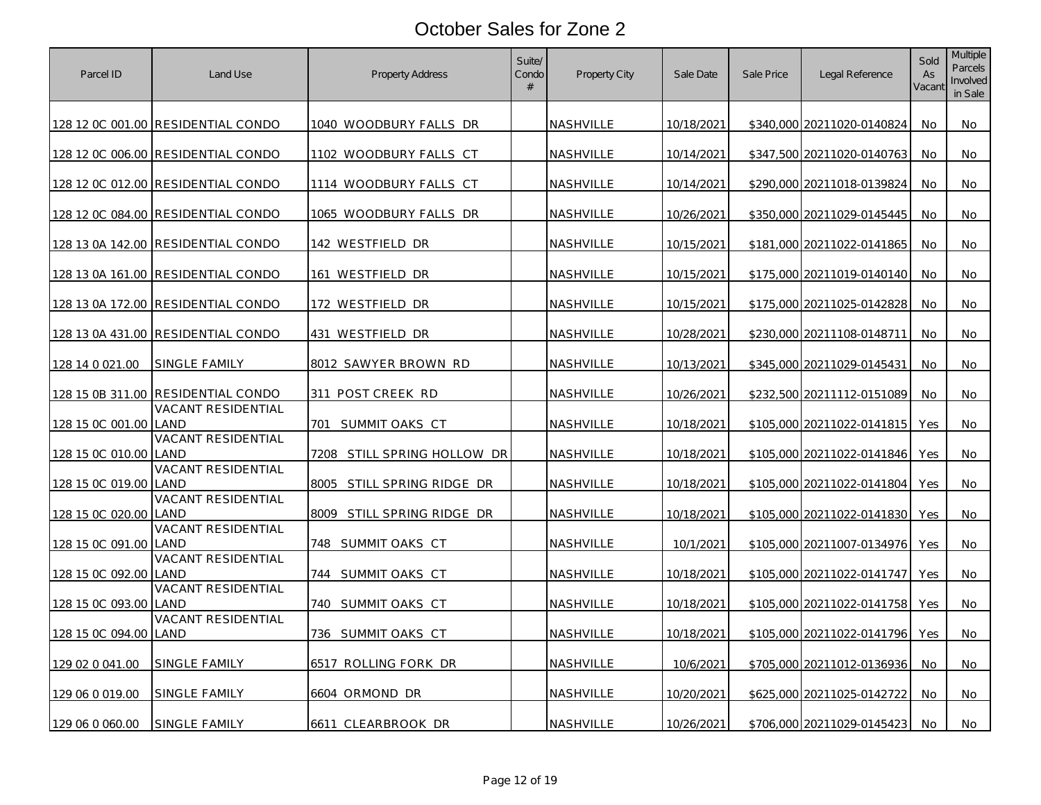| Parcel ID             | Land Use                                                        | Property Address                   | Suite/<br>Condo<br># | Property City    | Sale Date  | Sale Price | Legal Reference            | Sold<br>As<br>Vacant | <b>Multiple</b><br>Parcels<br>Involved<br>in Sale |
|-----------------------|-----------------------------------------------------------------|------------------------------------|----------------------|------------------|------------|------------|----------------------------|----------------------|---------------------------------------------------|
|                       | 128 12 0C 001.00 RESIDENTIAL CONDO                              | 1040 WOODBURY FALLS DR             |                      | NASHVILLE        | 10/18/2021 |            | \$340,000 20211020-0140824 | No                   | No                                                |
|                       | 128 12 0C 006.00 RESIDENTIAL CONDO                              | 1102 WOODBURY FALLS CT             |                      | NASHVILLE        | 10/14/2021 |            | \$347,500 20211020-0140763 | No                   | No                                                |
|                       | 128 12 0C 012.00 RESIDENTIAL CONDO                              | 1114 WOODBURY FALLS CT             |                      | NASHVILLE        | 10/14/2021 |            | \$290,000 20211018-0139824 | No                   | No                                                |
|                       | 128 12 0C 084.00 RESIDENTIAL CONDO                              | 1065 WOODBURY FALLS DR             |                      | NASHVILLE        | 10/26/2021 |            | \$350,000 20211029-0145445 | No                   | No                                                |
|                       | 128 13 0A 142.00 RESIDENTIAL CONDO                              | 142 WESTFIELD DR                   |                      | NASHVILLE        | 10/15/2021 |            | \$181,000 20211022-0141865 | No                   | No.                                               |
|                       | 128 13 0A 161.00 RESIDENTIAL CONDO                              | 161 WESTFIELD DR                   |                      | NASHVILLE        | 10/15/2021 |            | \$175,000 20211019-0140140 | No                   | No                                                |
|                       | 128 13 0A 172.00 RESIDENTIAL CONDO                              | 172 WESTFIELD DR                   |                      | NASHVILLE        | 10/15/2021 |            | \$175,000 20211025-0142828 | No.                  | No                                                |
|                       | 128 13 0A 431.00 RESIDENTIAL CONDO                              | 431 WESTFIELD DR                   |                      | NASHVILLE        | 10/28/2021 |            | \$230,000 20211108-0148711 | No.                  | No                                                |
| 128 14 0 021.00       | SINGLE FAMILY                                                   | 8012 SAWYER BROWN RD               |                      | NASHVILLE        | 10/13/2021 |            | \$345,000 20211029-0145431 | No                   | No                                                |
|                       | 128 15 0B 311.00 RESIDENTIAL CONDO<br><b>VACANT RESIDENTIAL</b> | 311 POST CREEK RD                  |                      | NASHVILLE        | 10/26/2021 |            | \$232,500 20211112-0151089 | No                   | No                                                |
| 128 15 0C 001.00 LAND | VACANT RESIDENTIAL                                              | SUMMIT OAKS CT<br>701              |                      | NASHVILLE        | 10/18/2021 |            | \$105,000 20211022-0141815 | Yes                  | No                                                |
| 128 15 0C 010.00      | LAND<br>VACANT RESIDENTIAL                                      | <u>7208 STILL SPRING HOLLOW DR</u> |                      | <u>NASHVILLE</u> | 10/18/2021 |            | \$105,000 20211022-0141846 | Yes                  | No                                                |
| 128 15 0C 019.00      | LAND<br>VACANT RESIDENTIAL                                      | 8005 STILL SPRING RIDGE DR         |                      | NASHVILLE        | 10/18/2021 |            | \$105,000 20211022-0141804 | Yes                  | No                                                |
| 128 15 0C 020.00      | land<br>VACANT RESIDENTIAL                                      | 8009 STILL SPRING RIDGE DR         |                      | NASHVILLE        | 10/18/2021 |            | \$105,000 20211022-0141830 | Yes                  | No                                                |
| 128 15 OC 091.00      | LAND<br><b>VACANT RESIDENTIAL</b>                               | 748   SUMMIT OAKS  CT              |                      | NASHVILLE        | 10/1/2021  |            | \$105,000 20211007-0134976 | Yes                  | No                                                |
| 128 15 0C 092.00 LAND | VACANT RESIDENTIAL                                              | 744 SUMMIT OAKS CT                 |                      | NASHVILLE        | 10/18/2021 |            | \$105,000 20211022-0141747 | Yes                  | No                                                |
| 128 15 0C 093.00      | LAND<br>VACANT RESIDENTIAL                                      | 740 SUMMIT OAKS CT                 |                      | NASHVILLE        | 10/18/2021 |            | \$105,000 20211022-0141758 | Yes                  | No                                                |
| 128 15 0C 094.00      | LAND                                                            | 736 SUMMIT OAKS CT                 |                      | NASHVILLE        | 10/18/2021 |            | \$105,000 20211022-0141796 | Yes                  | No                                                |
| 129 02 0 041.00       | SINGLE FAMILY                                                   | 6517 ROLLING FORK DR               |                      | NASHVILLE        | 10/6/2021  |            | \$705,000 20211012-0136936 | No                   | No                                                |
| 129 06 0 019.00       | SINGLE FAMILY                                                   | 6604 ORMOND DR                     |                      | NASHVILLE        | 10/20/2021 |            | \$625,000 20211025-0142722 | No                   | No                                                |
| 129 06 0 060.00       | SINGLE FAMILY                                                   | 6611 CLEARBROOK DR                 |                      | NASHVILLE        | 10/26/2021 |            | \$706,000 20211029-0145423 | No                   | No                                                |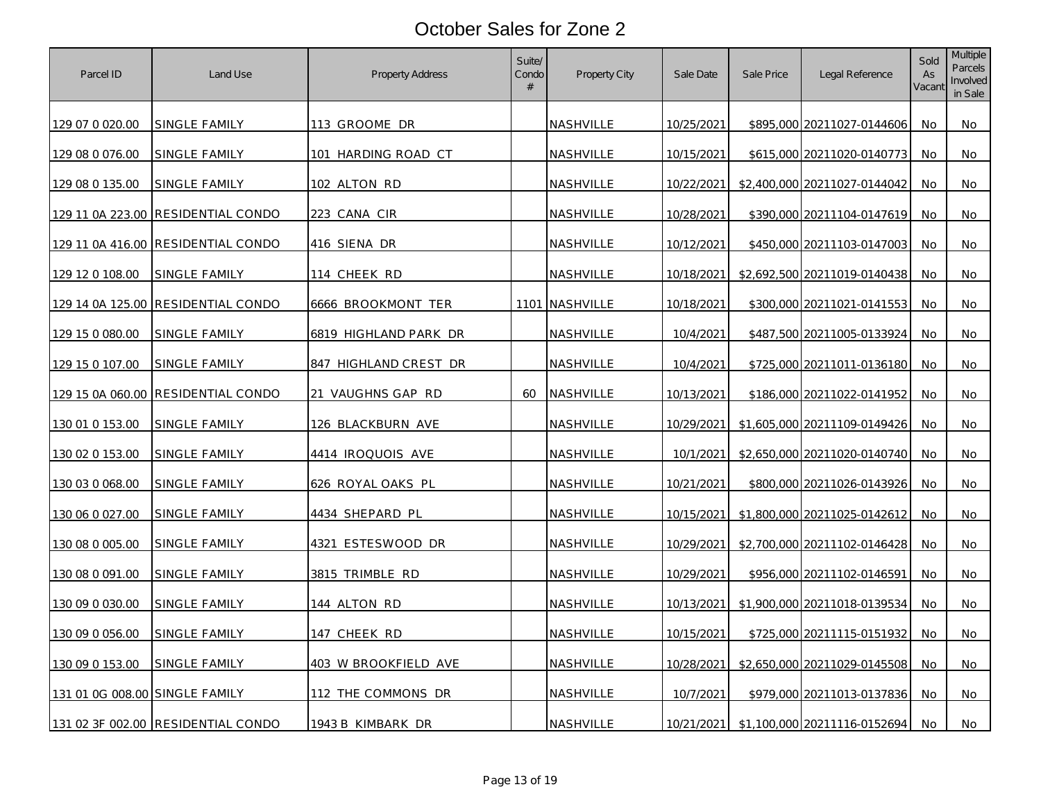| Parcel ID                      | Land Use                           | Property Address      | Suite/<br>Condo<br># | Property City  | Sale Date         | Sale Price | Legal Reference              | Sold<br>As<br>Vacant | <b>Multiple</b><br>Parcels<br>Involved<br>in Sale |
|--------------------------------|------------------------------------|-----------------------|----------------------|----------------|-------------------|------------|------------------------------|----------------------|---------------------------------------------------|
| 129 07 0 020.00                | SINGLE FAMILY                      | 113 GROOME DR         |                      | NASHVILLE      | 10/25/2021        |            | \$895,000 20211027-0144606   | No                   | No                                                |
| 129 08 0 076.00                | SINGLE FAMILY                      | 101 HARDING ROAD CT   |                      | NASHVILLE      | 10/15/2021        |            | \$615,000 20211020-0140773   | No                   | No                                                |
| 129 08 0 135.00                | SINGLE FAMILY                      | 102 ALTON RD          |                      | NASHVILLE      | 10/22/2021        |            | \$2,400,000 20211027-0144042 | No                   | No                                                |
|                                | 129 11 0A 223.00 RESIDENTIAL CONDO | 223 CANA CIR          |                      | NASHVILLE      | 10/28/2021        |            | \$390,000 20211104-0147619   | No                   | No                                                |
|                                | 129 11 0A 416.00 RESIDENTIAL CONDO | 416 SIENA DR          |                      | NASHVILLE      | 10/12/2021        |            | \$450,000 20211103-0147003   | No                   | No                                                |
| 129 12 0 108.00                | SINGLE FAMILY                      | 114 CHEEK RD          |                      | NASHVILLE      | 10/18/2021        |            | \$2,692,500 20211019-0140438 | No                   | No                                                |
|                                | 129 14 0A 125.00 RESIDENTIAL CONDO | 6666 BROOKMONT TER    |                      | 1101 NASHVILLE | 10/18/2021        |            | \$300,000 20211021-0141553   | No                   | No                                                |
| 129 15 0 080.00                | SINGLE FAMILY                      | 6819 HIGHLAND PARK DR |                      | NASHVILLE      | 10/4/2021         |            | \$487,500 20211005-0133924   | No.                  | No                                                |
| 129 15 0 107.00                | SINGLE FAMILY                      | 847 HIGHLAND CREST DR |                      | NASHVILLE      | 10/4/2021         |            | \$725,000 20211011-0136180   | No                   | No                                                |
|                                | 129 15 0A 060.00 RESIDENTIAL CONDO | 21 VAUGHNS GAP RD     | 60                   | NASHVILLE      | 10/13/2021        |            | \$186,000 20211022-0141952   | No                   | No                                                |
| 130 01 0 153.00                | SINGLE FAMILY                      | 126 BLACKBURN AVE     |                      | NASHVILLE      | 10/29/2021        |            | \$1,605,000 20211109-0149426 | No                   | No                                                |
| 130 02 0 153.00                | SINGLE FAMILY                      | 4414 IROQUOIS AVE     |                      | NASHVILLE      | 10/1/2021         |            | \$2,650,000 20211020-0140740 | No.                  | No                                                |
| 130 03 0 068.00                | SINGLE FAMILY                      | 626 ROYAL OAKS PL     |                      | NASHVILLE      | 10/21/2021        |            | \$800,000 20211026-0143926   | No.                  | No                                                |
| 130 06 0 027.00                | SINGLE FAMILY                      | 4434 SHEPARD PL       |                      | NASHVILLE      | 10/15/2021        |            | \$1,800,000 20211025-0142612 | No                   | No                                                |
| 130 08 0 005.00                | SINGLE FAMILY                      | 4321 ESTESWOOD DR     |                      | NASHVILLE      | 10/29/2021        |            | \$2,700,000 20211102-0146428 | No.                  | No                                                |
| 130 08 0 091.00                | SINGLE FAMILY                      | 3815 TRIMBLE RD       |                      | NASHVILLE      | <u>10/29/2021</u> |            | \$956,000 20211102-0146591   | No                   | No                                                |
| 130 09 0 030.00                | SINGLE FAMILY                      | 144 ALTON RD          |                      | NASHVILLE      | 10/13/2021        |            | \$1,900,000 20211018-0139534 | No                   | No                                                |
| 130 09 0 056.00                | <u>SINGLE FAMILY</u>               | 147 CHEEK RD          |                      | NASHVILLE      | 10/15/2021        |            | \$725,000 20211115-0151932   | No                   | No.                                               |
| 130 09 0 153.00                | SINGLE FAMILY                      | 403 W BROOKFIELD AVE  |                      | NASHVILLE      | 10/28/2021        |            | \$2,650,000 20211029-0145508 | No                   | No                                                |
| 131 01 0G 008.00 SINGLE FAMILY |                                    | 112 THE COMMONS DR    |                      | NASHVILLE      | 10/7/2021         |            | \$979,000 20211013-0137836   | No                   | No                                                |
|                                | 131 02 3F 002.00 RESIDENTIAL CONDO | 1943 B KIMBARK DR     |                      | NASHVILLE      | 10/21/2021        |            | \$1,100,000 20211116-0152694 | No                   | No                                                |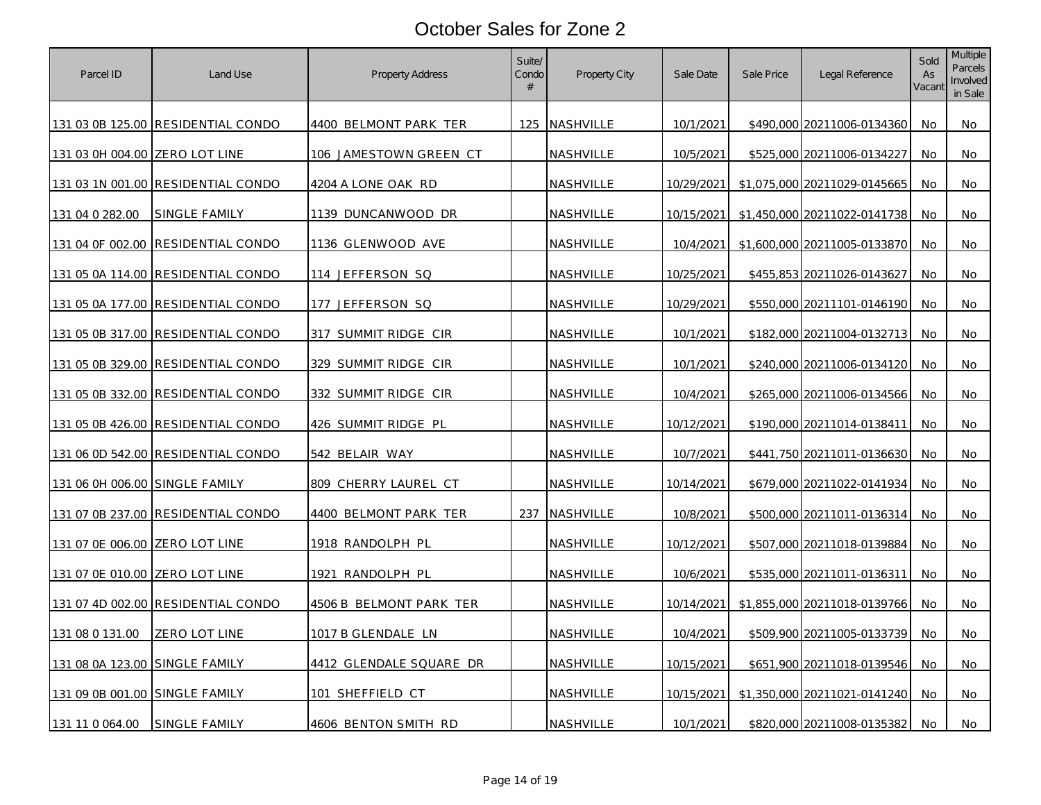| Parcel ID                      | Land Use                                  | Property Address        | Suite/<br>Condo<br># | Property City    | Sale Date  | Sale Price | Legal Reference              | Sold<br>As<br>Vacant | <b>Multiple</b><br>Parcels<br>Involved<br>in Sale |
|--------------------------------|-------------------------------------------|-------------------------|----------------------|------------------|------------|------------|------------------------------|----------------------|---------------------------------------------------|
|                                | 131 03 0B 125.00 RESIDENTIAL CONDO        | 4400 BELMONT PARK TER   |                      | 125 NASHVILLE    | 10/1/2021  |            | \$490,000 20211006-0134360   | No                   | No                                                |
| 131 03 0H 004.00 ZERO LOT LINE |                                           | 106 JAMESTOWN GREEN CT  |                      | NASHVILLE        | 10/5/2021  |            | \$525,000 20211006-0134227   | No                   | No                                                |
|                                | 131 03 1N 001.00 RESIDENTIAL CONDO        | 4204 A LONE OAK RD      |                      | NASHVILLE        | 10/29/2021 |            | \$1,075,000 20211029-0145665 | No                   | No                                                |
| 131 04 0 282.00                | SINGLE FAMILY                             | 1139 DUNCANWOOD DR      |                      | NASHVILLE        | 10/15/2021 |            | \$1,450,000 20211022-0141738 | No                   | No                                                |
|                                | 131 04 OF 002.00 RESIDENTIAL CONDO        | 1136 GLENWOOD AVE       |                      | <b>NASHVILLE</b> | 10/4/2021  |            | \$1,600,000 20211005-0133870 | No                   | No                                                |
| 131 05 0A 114.00               | <b>RESIDENTIAL CONDO</b>                  | 114 JEFFERSON SQ        |                      | NASHVILLE        | 10/25/2021 |            | \$455,853 20211026-0143627   | No                   | No                                                |
|                                | 131 05 0A 177.00 RESIDENTIAL CONDO        | 177 JEFFERSON SQ        |                      | NASHVILLE        | 10/29/2021 |            | \$550,000 20211101-0146190   | No.                  | No                                                |
|                                | 131 05 0B 317.00 RESIDENTIAL CONDO        | 317 SUMMIT RIDGE CIR    |                      | NASHVILLE        | 10/1/2021  |            | \$182,000 20211004-0132713   | No                   | No                                                |
|                                | 131 05 0B 329.00 RESIDENTIAL CONDO        | 329 SUMMIT RIDGE CIR    |                      | NASHVILLE        | 10/1/2021  |            | \$240,000 20211006-0134120   | No                   | No                                                |
|                                | 131 05 0B 332.00 RESIDENTIAL CONDO        | 332 SUMMIT RIDGE CIR    |                      | NASHVILLE        | 10/4/2021  |            | \$265,000 20211006-0134566   | No                   | No                                                |
|                                | 131 05 0B 426.00 RESIDENTIAL CONDO        | 426 SUMMIT RIDGE PL     |                      | NASHVILLE        | 10/12/2021 |            | \$190,000 20211014-0138411   | No                   | No                                                |
|                                | <u>131 06 0D 542.00 RESIDENTIAL CONDO</u> | <u>542 BELAIR WAY</u>   |                      | <u>NASHVILLE</u> | 10/7/2021  |            | \$441,750 20211011-0136630   | No.                  | No                                                |
| 131 06 0H 006.00 SINGLE FAMILY |                                           | 809 CHERRY LAUREL CT    |                      | NASHVILLE        | 10/14/2021 |            | \$679,000 20211022-0141934   | No                   | No                                                |
|                                | 131 07 0B 237.00 RESIDENTIAL CONDO        | 4400 BELMONT PARK TER   |                      | 237 NASHVILLE    | 10/8/2021  |            | \$500,000 20211011-0136314   | No                   | No                                                |
| 131 07 0E 006.00 ZERO LOT LINE |                                           | 1918 RANDOLPH PL        |                      | NASHVILLE        | 10/12/2021 |            | \$507,000 20211018-0139884   | No.                  | No                                                |
| 131 07 0E 010.00 ZERO LOT LINE |                                           | 1921 RANDOLPH PL        |                      | NASHVILLE        | 10/6/2021  |            | \$535,000 20211011-0136311   | No                   | No                                                |
|                                | 131 07 4D 002.00 RESIDENTIAL CONDO        | 4506 B BELMONT PARK TER |                      | NASHVILLE        | 10/14/2021 |            | \$1,855,000 20211018-0139766 | No                   | No                                                |
| 131 08 0 131 00                | ZERO LOT LINE                             | 1017 B GLENDALE LN      |                      | NASHVILLE        | 10/4/2021  |            | \$509,900 20211005-0133739   | No                   | No                                                |
| 131 08 0A 123.00 SINGLE FAMILY |                                           | 4412 GLENDALE SQUARE DR |                      | <b>NASHVILLE</b> | 10/15/2021 |            | \$651,900 20211018-0139546   | No.                  | No                                                |
| 131 09 0B 001.00 SINGLE FAMILY |                                           | 101 SHEFFIELD CT        |                      | NASHVILLE        | 10/15/2021 |            | \$1,350,000 20211021-0141240 | No                   | No                                                |
| 131 11 0 064.00                | SINGLE FAMILY                             | 4606 BENTON SMITH RD    |                      | NASHVILLE        | 10/1/2021  |            | \$820,000 20211008-0135382   | No.                  | No                                                |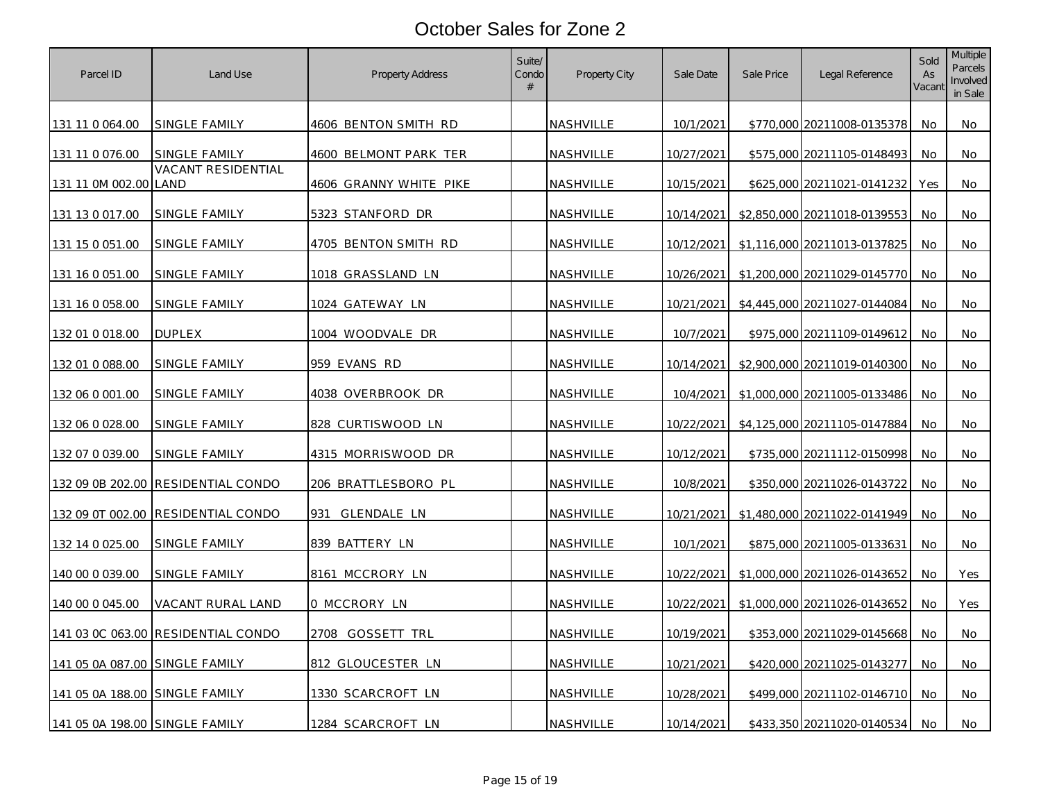| Parcel ID                      | Land Use                           | Property Address       | Suite/<br>Condo<br># | Property City    | Sale Date  | Sale Price | Legal Reference              | Sold<br>As<br>Vacant | <b>Multiple</b><br>Parcels<br>Involved<br>in Sale |
|--------------------------------|------------------------------------|------------------------|----------------------|------------------|------------|------------|------------------------------|----------------------|---------------------------------------------------|
| 131 11 0 064.00                | SINGLE FAMILY                      | 4606 BENTON SMITH RD   |                      | NASHVILLE        | 10/1/2021  |            | \$770,000 20211008-0135378   | No                   | No                                                |
| 131 11 0 076.00                | SINGLE FAMILY                      | 4600 BELMONT PARK TER  |                      | NASHVILLE        | 10/27/2021 |            | \$575,000 20211105-0148493   | No                   | No                                                |
| 131 11 0M 002.00 LAND          | VACANT RESIDENTIAL                 | 4606 GRANNY WHITE PIKE |                      | NASHVILLE        | 10/15/2021 |            | \$625,000 20211021-0141232   | Yes                  | No                                                |
| 131 13 0 017.00                | SINGLE FAMILY                      | 5323 STANFORD DR       |                      | NASHVILLE        | 10/14/2021 |            | \$2,850,000 20211018-0139553 | No                   | No                                                |
| 131 15 0 051.00                | SINGLE FAMILY                      | 4705 BENTON SMITH RD   |                      | NASHVILLE        | 10/12/2021 |            | \$1,116,000 20211013-0137825 | No.                  | No.                                               |
| 131 16 0 051.00                | SINGLE FAMILY                      | 1018 GRASSLAND LN      |                      | NASHVILLE        | 10/26/2021 |            | \$1,200,000 20211029-0145770 | No                   | No                                                |
| 131 16 0 058.00                | SINGLE FAMILY                      | 1024 GATEWAY LN        |                      | NASHVILLE        | 10/21/2021 |            | \$4,445,000 20211027-0144084 | No.                  | No                                                |
| 132 01 0 018.00                | <b>DUPLEX</b>                      | 1004 WOODVALE DR       |                      | NASHVILLE        | 10/7/2021  |            | \$975,000 20211109-0149612   | <b>No</b>            | No                                                |
| 132 01 0 088.00                | SINGLE FAMILY                      | 959 EVANS RD           |                      | NASHVILLE        | 10/14/2021 |            | \$2,900,000 20211019-0140300 | No.                  | No                                                |
| 132 06 0 001.00                | SINGLE FAMILY                      | 4038 OVERBROOK DR      |                      | NASHVILLE        | 10/4/2021  |            | \$1,000,000 20211005-0133486 | <b>No</b>            | No                                                |
| 132 06 0 028.00                | SINGLE FAMILY                      | 828 CURTISWOOD LN      |                      | NASHVILLE        | 10/22/2021 |            | \$4,125,000 20211105-0147884 | No                   | No                                                |
| 132 07 0 039.00                | <u>SINGLE FAMILY</u>               | 4315 MORRISWOOD DR     |                      | <u>NASHVILLE</u> | 10/12/2021 |            | \$735,000 20211112-0150998   | No                   | No                                                |
|                                | 132 09 0B 202.00 RESIDENTIAL CONDO | 206 BRATTLESBORO PL    |                      | NASHVILLE        | 10/8/2021  |            | \$350,000 20211026-0143722   | No.                  | No                                                |
| 132 09 0T 002.00               | <b>RESIDENTIAL CONDO</b>           | 931<br>GLENDALE LN     |                      | NASHVILLE        | 10/21/2021 |            | \$1,480,000 20211022-0141949 | No                   | No                                                |
| 132 14 0 025.00                | SINGLE FAMILY                      | 839 BATTERY LN         |                      | NASHVILLE        | 10/1/2021  |            | \$875,000 20211005-0133631   | No.                  | No                                                |
| 140 00 0 039.00                | SINGLE FAMILY                      | 8161 MCCRORY LN        |                      | NASHVILLE        | 10/22/2021 |            | \$1,000,000 20211026-0143652 | No                   | Yes                                               |
| 140 00 0 045.00                | VACANT RURAL LAND                  | 0 MCCRORY LN           |                      | NASHVILLE        | 10/22/2021 |            | \$1,000,000 20211026-0143652 | No                   | Yes                                               |
|                                | 141 03 0C 063.00 RESIDENTIAL CONDO | 2708 GOSSETT TRL       |                      | NASHVILLE        | 10/19/2021 |            | \$353,000 20211029-0145668   | No                   | No                                                |
| 141 05 0A 087.00 SINGLE FAMILY |                                    | 812 GLOUCESTER LN      |                      | <b>NASHVILLE</b> | 10/21/2021 |            | \$420,000 20211025-0143277   | No.                  | No                                                |
| 141 05 0A 188.00 SINGLE FAMILY |                                    | 1330 SCARCROFT LN      |                      | NASHVILLE        | 10/28/2021 |            | \$499,000 20211102-0146710   | No                   | No                                                |
| 141 05 0A 198.00 SINGLE FAMILY |                                    | 1284 SCARCROFT LN      |                      | NASHVILLE        | 10/14/2021 |            | \$433,350 20211020-0140534   | No                   | No                                                |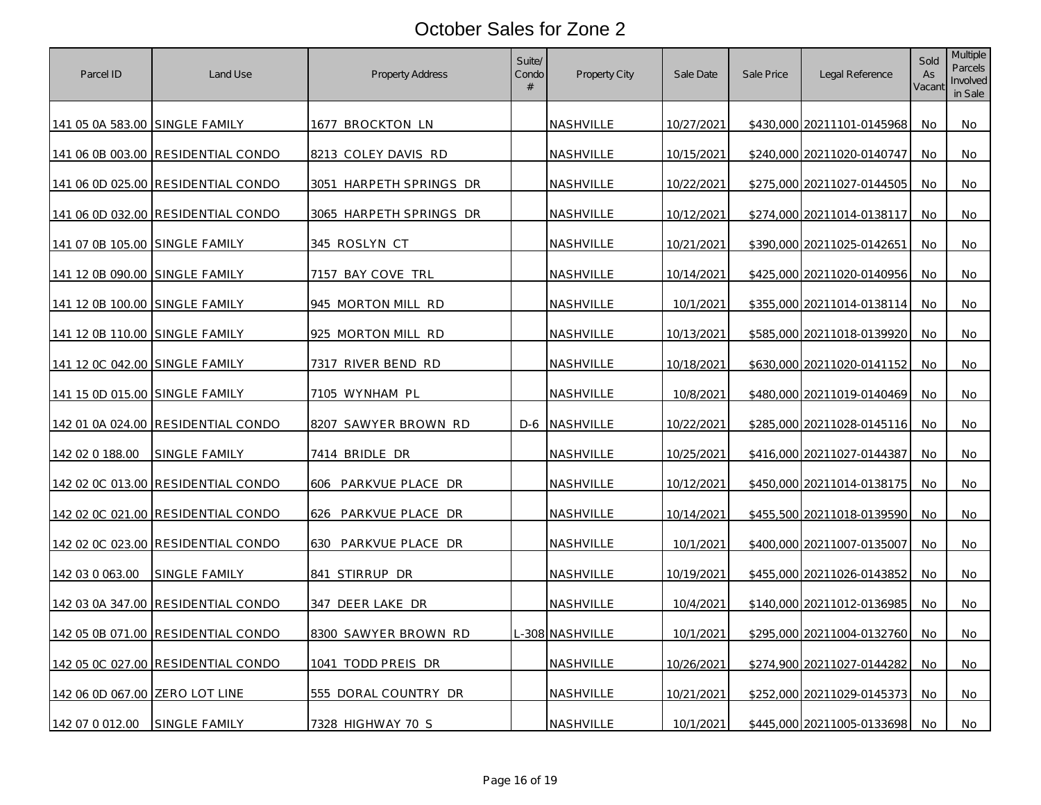| Parcel ID                      | Land Use                           | <b>Property Address</b> | Suite/<br>Condo<br># | Property City    | Sale Date         | Sale Price | Legal Reference            | Sold<br>As<br>Vacant | <b>Multiple</b><br>Parcels<br>Involved<br>in Sale |
|--------------------------------|------------------------------------|-------------------------|----------------------|------------------|-------------------|------------|----------------------------|----------------------|---------------------------------------------------|
| 141 05 0A 583.00 SINGLE FAMILY |                                    | <u>1677 BROCKTON LN</u> |                      | <b>NASHVILLE</b> | 10/27/2021        |            | \$430,000 20211101-0145968 | No.                  | No                                                |
|                                | 141 06 0B 003.00 RESIDENTIAL CONDO | 8213 COLEY DAVIS RD     |                      | <b>NASHVILLE</b> | 10/15/2021        |            | \$240,000 20211020-0140747 | No                   | No                                                |
|                                | 141 06 0D 025.00 RESIDENTIAL CONDO | 3051 HARPETH SPRINGS DR |                      | NASHVILLE        | 10/22/2021        |            | \$275,000 20211027-0144505 | No                   | No                                                |
|                                | 141 06 0D 032.00 RESIDENTIAL CONDO | 3065 HARPETH SPRINGS DR |                      | NASHVILLE        | 10/12/2021        |            | \$274,000 20211014-0138117 | No                   | No                                                |
| 141 07 0B 105.00 SINGLE FAMILY |                                    | <u>345 ROSLYN CT</u>    |                      | NASHVILLE        | 10/21/2021        |            | \$390,000 20211025-0142651 | No                   | No                                                |
| 141 12 0B 090.00 SINGLE FAMILY |                                    | 7157 BAY COVE TRL       |                      | NASHVILLE        | 10/14/2021        |            | \$425,000 20211020-0140956 | No                   | No.                                               |
| 141 12 0B 100.00 SINGLE FAMILY |                                    | 945 MORTON MILL RD      |                      | NASHVILLE        | 10/1/2021         |            | \$355,000 20211014-0138114 | No                   | No                                                |
| 141 12 0B 110.00 SINGLE FAMILY |                                    | 925 MORTON MILL RD      |                      | NASHVILLE        | 10/13/2021        |            | \$585,000 20211018-0139920 | No                   | No                                                |
| 141 12 0C 042.00 SINGLE FAMILY |                                    | 7317 RIVER BEND RD      |                      | NASHVILLE        | 10/18/2021        |            | \$630,000 20211020-0141152 | No                   | No                                                |
| 141 15 0D 015.00 SINGLE FAMILY |                                    | 7105 WYNHAM PL          |                      | NASHVILLE        | 10/8/2021         |            | \$480,000 20211019-0140469 | No                   | No                                                |
|                                | 142 01 0A 024.00 RESIDENTIAL CONDO | 8207 SAWYER BROWN RD    |                      | D-6 NASHVILLE    | 10/22/2021        |            | \$285,000 20211028-0145116 | No                   | No                                                |
| 142 02 0 188.00                | <u>SINGLE FAMILY</u>               | 7414 BRIDLE DR          |                      | NASHVILLE        | 10/25/2021        |            | \$416,000 20211027-0144387 | No                   | No                                                |
|                                | 142 02 0C 013.00 RESIDENTIAL CONDO | 606 PARKVUE PLACE DR    |                      | NASHVILLE        | 10/12/2021        |            | \$450,000 20211014-0138175 | No                   | No                                                |
|                                | 142 02 0C 021.00 RESIDENTIAL CONDO | PARKVUE PLACE DR<br>626 |                      | NASHVILLE        | 10/14/2021        |            | \$455,500 20211018-0139590 | No                   | No                                                |
|                                | 142 02 0C 023.00 RESIDENTIAL CONDO | PARKVUE PLACE DR<br>630 |                      | NASHVILLE        | 10/1/2021         |            | \$400,000 20211007-0135007 | No                   | No                                                |
| 142 03 0 063.00                | SINGLE FAMILY                      | 841 STIRRUP DR          |                      | NASHVILLE        | 10/19/2021        |            | \$455,000 20211026-0143852 | No                   | No                                                |
|                                | 142 03 0A 347.00 RESIDENTIAL CONDO | 347 DEER LAKE DR        |                      | NASHVILLE        | 10/4/2021         |            | \$140,000 20211012-0136985 | No                   | No.                                               |
|                                | 142 05 0B 071.00 RESIDENTIAL CONDO | 8300 SAWYER BROWN RD    |                      | -308 NASHVILLE   | 10/1/2021         |            | \$295,000 20211004-0132760 | No                   | No                                                |
|                                | 142 05 0C 027.00 RESIDENTIAL CONDO | 1041 TODD PREIS DR      |                      | NASHVILLE        | <u>10/26/2021</u> |            | \$274,900 20211027-0144282 | No                   | No                                                |
| 142 06 0D 067.00 ZERO LOT LINE |                                    | 555 DORAL COUNTRY DR    |                      | NASHVILLE        | 10/21/2021        |            | \$252,000 20211029-0145373 | <b>No</b>            | No                                                |
| 142 07 0 012.00                | SINGLE FAMILY                      | 7328 HIGHWAY 70 S       |                      | NASHVILLE        | 10/1/2021         |            | \$445,000 20211005-0133698 | No.                  | No                                                |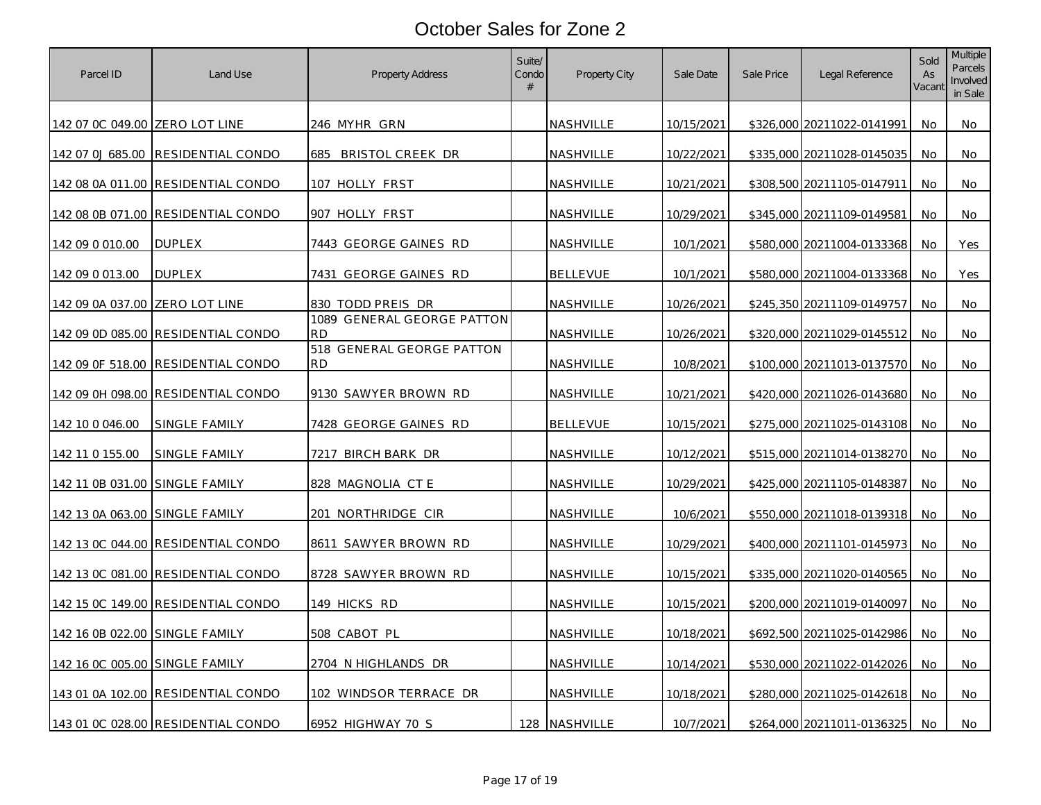| Parcel ID                      | Land Use                           | <b>Property Address</b>                 | Suite/<br>Condo<br># | Property City    | Sale Date         | Sale Price | Legal Reference            | Sold<br>As<br>Vacant | <b>Multiple</b><br>Parcels<br>Involved<br>in Sale |
|--------------------------------|------------------------------------|-----------------------------------------|----------------------|------------------|-------------------|------------|----------------------------|----------------------|---------------------------------------------------|
| 142 07 0C 049.00 ZERO LOT LINE |                                    | <u>246 MYHR GRN</u>                     |                      | NASHVILLE        | 10/15/2021        |            | \$326,000 20211022-0141991 | No                   | No                                                |
| 142 07 0J 685.00               | <b>RESIDENTIAL CONDO</b>           | 685 BRISTOL CREEK DR                    |                      | NASHVILLE        | 10/22/2021        |            | \$335,000 20211028-0145035 | No                   | No                                                |
|                                | 142 08 0A 011.00 RESIDENTIAL CONDO | 107 HOLLY FRST                          |                      | NASHVILLE        | 10/21/2021        |            | \$308,500 20211105-0147911 | No                   | No                                                |
|                                | 142 08 0B 071.00 RESIDENTIAL CONDO | 907 HOLLY FRST                          |                      | <b>NASHVILLE</b> | 10/29/2021        |            | \$345,000 20211109-0149581 | No                   | No                                                |
| 142 09 0 010.00                | <b>DUPLEX</b>                      | 7443 GEORGE GAINES RD                   |                      | NASHVILLE        | 10/1/2021         |            | \$580,000 20211004-0133368 | No                   | Yes                                               |
| 142 09 0 013.00                | <b>DUPLEX</b>                      | 7431 GEORGE GAINES RD                   |                      | <b>BELLEVUE</b>  | 10/1/2021         |            | \$580,000 20211004-0133368 | No                   | <b>Yes</b>                                        |
| 142 09 0A 037.00 ZERO LOT LINE |                                    | 830 TODD PREIS DR                       |                      | NASHVILLE        | 10/26/2021        |            | \$245,350 20211109-0149757 | No                   | No                                                |
|                                | 142 09 0D 085.00 RESIDENTIAL CONDO | 1089 GENERAL GEORGE PATTON<br><b>RD</b> |                      | NASHVILLE        | 10/26/2021        |            | \$320,000 20211029-0145512 | No                   | No                                                |
|                                | 142 09 0F 518.00 RESIDENTIAL CONDO | 518 GENERAL GEORGE PATTON<br><b>RD</b>  |                      | NASHVILLE        | 10/8/2021         |            | \$100,000 20211013-0137570 | No                   | No                                                |
|                                | 142 09 0H 098.00 RESIDENTIAL CONDO | 9130 SAWYER BROWN RD                    |                      | NASHVILLE        | 10/21/2021        |            | \$420,000 20211026-0143680 | No                   | No                                                |
| 142 10 0 046.00                | SINGLE FAMILY                      | 7428 GEORGE GAINES RD                   |                      | <b>BELLEVUE</b>  | 10/15/2021        |            | \$275,000 20211025-0143108 | No                   | No                                                |
| 142 11 0 155.00                | <u>SINGLE FAMILY</u>               | <u>7217 BIRCH BARK DR</u>               |                      | NASHVILLE        | 10/12/2021        |            | \$515,000 20211014-0138270 | No                   | No                                                |
| 142 11 0B 031.00 SINGLE FAMILY |                                    | 828 MAGNOLIA CT E                       |                      | NASHVILLE        | 10/29/2021        |            | \$425,000 20211105-0148387 | No                   | No                                                |
| 142 13 0A 063.00 SINGLE FAMILY |                                    | NORTHRIDGE CIR<br>201                   |                      | NASHVILLE        | 10/6/2021         |            | \$550,000 20211018-0139318 | No                   | No                                                |
|                                | 142 13 0C 044.00 RESIDENTIAL CONDO | 8611 SAWYER BROWN RD                    |                      | NASHVILLE        | 10/29/2021        |            | \$400,000 20211101-0145973 | No                   | No                                                |
|                                | 142 13 0C 081.00 RESIDENTIAL CONDO | 8728 SAWYER BROWN RD                    |                      | NASHVILLE        | 10/15/2021        |            | \$335,000 20211020-0140565 | No                   | No                                                |
|                                | 142 15 0C 149.00 RESIDENTIAL CONDO | <u>149 HICKS RD</u>                     |                      | NASHVILLE        | 10/15/2021        |            | \$200,000 20211019-0140097 | No                   | No                                                |
| 142 16 0B 022.00 SINGLE FAMILY |                                    | 508 CABOT PL                            |                      | NASHVILLE        | 10/18/2021        |            | \$692,500 20211025-0142986 | No                   | No                                                |
| 142 16 0C 005.00 SINGLE FAMILY |                                    | 2704 N HIGHLANDS DR                     |                      | NASHVILLE        | <u>10/14/2021</u> |            | \$530,000 20211022-0142026 | No                   | No                                                |
|                                | 143 01 0A 102.00 RESIDENTIAL CONDO | 102 WINDSOR TERRACE DR                  |                      | NASHVILLE        | 10/18/2021        |            | \$280,000 20211025-0142618 | No                   | No                                                |
|                                | 143 01 0C 028.00 RESIDENTIAL CONDO | 6952 HIGHWAY 70 S                       |                      | 128 NASHVILLE    | 10/7/2021         |            | \$264,000 20211011-0136325 | No.                  | No                                                |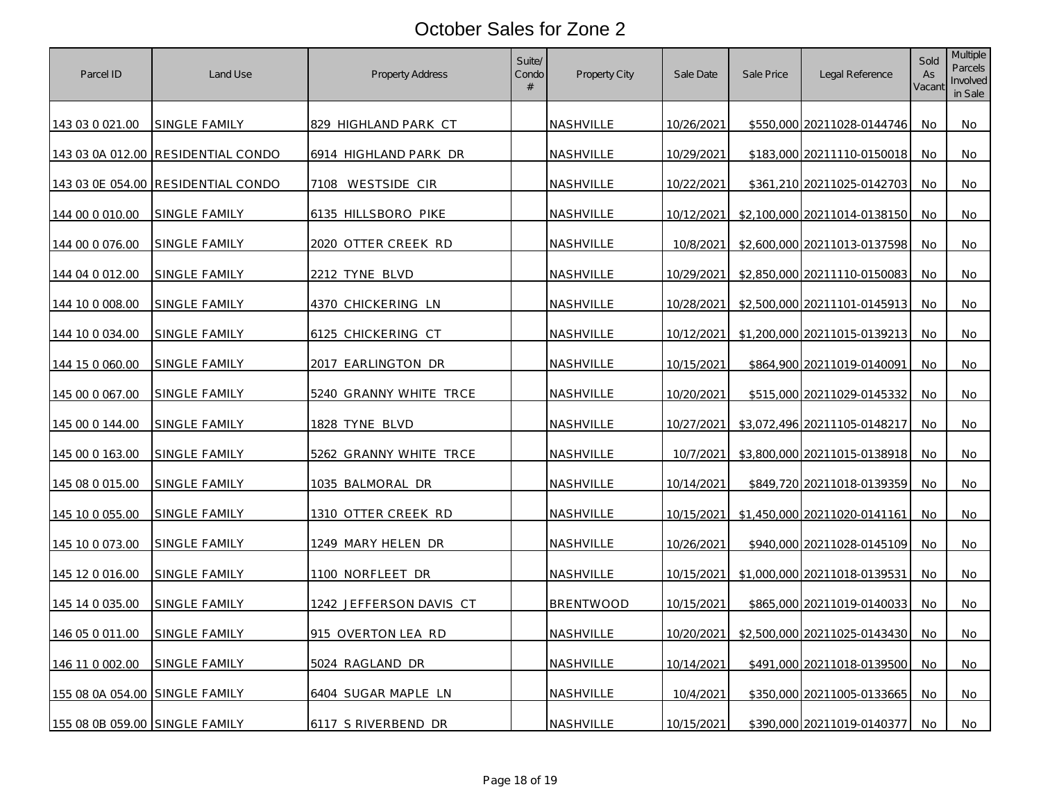| Parcel ID                      | Land Use                           | <b>Property Address</b> | Suite/<br>Condo<br># | Property City | Sale Date  | Sale Price | Legal Reference              | Sold<br>As<br>Vacant | <b>Multiple</b><br>Parcels<br>Involved<br>in Sale |
|--------------------------------|------------------------------------|-------------------------|----------------------|---------------|------------|------------|------------------------------|----------------------|---------------------------------------------------|
| 143 03 0 021.00                | SINGLE FAMILY                      | 829 HIGHLAND PARK CT    |                      | NASHVILLE     | 10/26/2021 |            | \$550,000 20211028-0144746   | No.                  | No                                                |
|                                | 143 03 0A 012.00 RESIDENTIAL CONDO | 6914 HIGHLAND PARK DR   |                      | NASHVILLE     | 10/29/2021 |            | \$183,000 20211110-0150018   | No                   | No                                                |
|                                | 143 03 0E 054.00 RESIDENTIAL CONDO | 7108 WESTSIDE CIR       |                      | NASHVILLE     | 10/22/2021 |            | \$361,210 20211025-0142703   | No                   | No                                                |
| 144 00 0 010 00                | SINGLE FAMILY                      | 6135 HILLSBORO PIKE     |                      | NASHVILLE     | 10/12/2021 |            | \$2,100,000 20211014-0138150 | No                   | No                                                |
| 144 00 0 076.00                | SINGLE FAMILY                      | 2020 OTTER CREEK RD     |                      | NASHVILLE     | 10/8/2021  |            | \$2,600,000 20211013-0137598 | No                   | No                                                |
| 144 04 0 012.00                | SINGLE FAMILY                      | 2212 TYNE BLVD          |                      | NASHVILLE     | 10/29/2021 |            | \$2,850,000 20211110-0150083 | No                   | No                                                |
| 144 10 0 008.00                | SINGLE FAMILY                      | 4370 CHICKERING LN      |                      | NASHVILLE     | 10/28/2021 |            | \$2,500,000 20211101-0145913 | No.                  | No                                                |
| 144 10 0 0 3 4 .0 0            | SINGLE FAMILY                      | 6125 CHICKERING CT      |                      | NASHVILLE     | 10/12/2021 |            | \$1,200,000 20211015-0139213 | No                   | No.                                               |
| 144 15 0 060.00                | SINGLE FAMILY                      | 2017 EARLINGTON DR      |                      | NASHVILLE     | 10/15/2021 |            | \$864,900 20211019-0140091   | No                   | No                                                |
| 145 00 0 067.00                | SINGLE FAMILY                      | 5240 GRANNY WHITE TRCE  |                      | NASHVILLE     | 10/20/2021 |            | \$515,000 20211029-0145332   | No                   | No                                                |
| 145 00 0 144.00                | SINGLE FAMILY                      | 1828 TYNE BLVD          |                      | NASHVILLE     | 10/27/2021 |            | \$3,072,496 20211105-0148217 | No                   | No                                                |
| 145 00 0 163.00                | <b>SINGLE FAMILY</b>               | 5262 GRANNY WHITE TRCE  |                      | NASHVILLE     | 10/7/2021  |            | \$3,800,000 20211015-0138918 | No                   | No                                                |
| 145 08 0 015.00                | SINGLE FAMILY                      | 1035 BALMORAL DR        |                      | NASHVILLE     | 10/14/2021 |            | \$849,720 20211018-0139359   | No                   | No.                                               |
| 145 10 0 055.00                | SINGLE FAMILY                      | 1310 OTTER CREEK RD     |                      | NASHVILLE     | 10/15/2021 |            | \$1,450,000 20211020-0141161 | No                   | No                                                |
| 145 10 0 073.00                | <b>SINGLE FAMILY</b>               | 1249 MARY HELEN DR      |                      | NASHVILLE     | 10/26/2021 |            | \$940,000 20211028-0145109   | No                   | No                                                |
| 145 12 0 016.00                | SINGLE FAMILY                      | 1100 NORFLEET DR        |                      | NASHVILLE     | 10/15/2021 |            | \$1,000,000 20211018-0139531 | No.                  | No                                                |
| 145 14 0 035.00                | SINGLE FAMILY                      | 1242 JEFFERSON DAVIS CT |                      | BRENTWOOD     | 10/15/2021 |            | \$865,000 20211019-0140033   | No                   | No                                                |
| 146 05 0 011.00                | SINGLE FAMILY                      | 915 OVERTON LEA RD      |                      | NASHVILLE     | 10/20/2021 |            | \$2,500,000 20211025-0143430 | No                   | No                                                |
| 146 11 0 002.00                | SINGLE FAMILY                      | 5024 RAGLAND DR         |                      | NASHVILLE     | 10/14/2021 |            | \$491,000 20211018-0139500   | No                   | No.                                               |
| 155 08 0A 054.00 SINGLE FAMILY |                                    | 6404 SUGAR MAPLE LN     |                      | NASHVILLE     | 10/4/2021  |            | \$350,000 20211005-0133665   | No                   | No                                                |
| 155 08 0B 059.00 SINGLE FAMILY |                                    | 6117 S RIVERBEND DR     |                      | NASHVILLE     | 10/15/2021 |            | \$390,000 20211019-0140377   | No.                  | No                                                |